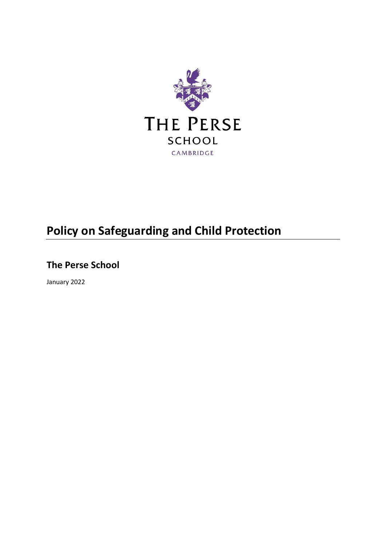

# **Policy on Safeguarding and Child Protection**

**The Perse School**

January 2022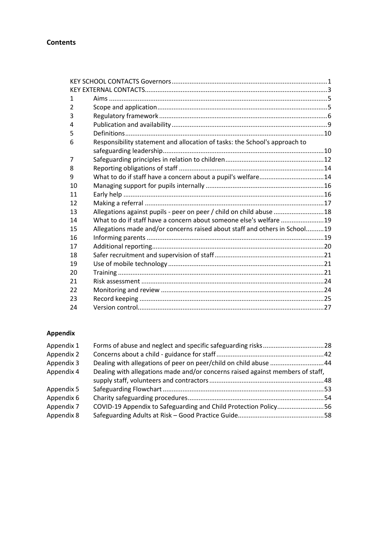# **Contents**

| Responsibility statement and allocation of tasks: the School's approach to |  |
|----------------------------------------------------------------------------|--|
|                                                                            |  |
|                                                                            |  |
|                                                                            |  |
| What to do if staff have a concern about a pupil's welfare14               |  |
|                                                                            |  |
|                                                                            |  |
|                                                                            |  |
| Allegations against pupils - peer on peer / child on child abuse 18        |  |
| What to do if staff have a concern about someone else's welfare 19         |  |
| Allegations made and/or concerns raised about staff and others in School19 |  |
|                                                                            |  |
|                                                                            |  |
|                                                                            |  |
|                                                                            |  |
|                                                                            |  |
|                                                                            |  |
|                                                                            |  |
|                                                                            |  |
|                                                                            |  |
|                                                                            |  |

# **Appendix**

| Appendix 1 |                                                                                |  |
|------------|--------------------------------------------------------------------------------|--|
| Appendix 2 |                                                                                |  |
| Appendix 3 | Dealing with allegations of peer on peer/child on child abuse 44               |  |
| Appendix 4 | Dealing with allegations made and/or concerns raised against members of staff, |  |
|            |                                                                                |  |
| Appendix 5 |                                                                                |  |
| Appendix 6 |                                                                                |  |
| Appendix 7 | COVID-19 Appendix to Safeguarding and Child Protection Policy56                |  |
| Appendix 8 |                                                                                |  |
|            |                                                                                |  |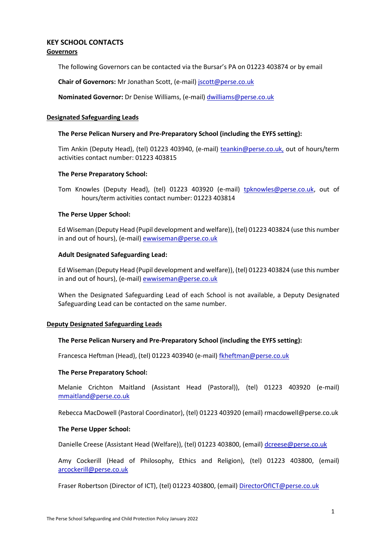# <span id="page-2-0"></span>**KEY SCHOOL CONTACTS Governors**

The following Governors can be contacted via the Bursar's PA on 01223 403874 or by email

**Chair of Governors:** Mr Jonathan Scott, (e-mail[\) jscott@perse.co.uk](mailto:jscott@perse.co.uk)

**Nominated Governor:** Dr Denise Williams, (e-mail) [dwilliams@perse.co.uk](mailto:dwilliams@perse.co.uk) 

## **Designated Safeguarding Leads**

#### **The Perse Pelican Nursery and Pre-Preparatory School (including the EYFS setting):**

Tim Ankin (Deputy Head), (tel) 01223 403940, (e-mail) [teankin@perse.co.uk,](mailto:teankin@perse.co.uk) out of hours/term activities contact number: 01223 403815

## **The Perse Preparatory School:**

Tom Knowles (Deputy Head), (tel) 01223 403920 (e-mail) [tpknowles@perse.co.uk,](mailto:tpknowles@perse.co.uk) out of hours/term activities contact number: 01223 403814

## **The Perse Upper School:**

Ed Wiseman (Deputy Head (Pupil development and welfare)), (tel) 01223 403824 (use this number in and out of hours), (e-mail) [ewwiseman@perse.co.uk](mailto:ewwiseman@perse.co.uk)

## **Adult Designated Safeguarding Lead:**

Ed Wiseman (Deputy Head (Pupil development and welfare)), (tel) 01223 403824 (use this number in and out of hours), (e-mail) [ewwiseman@perse.co.uk](mailto:ewwiseman@perse.co.uk)

When the Designated Safeguarding Lead of each School is not available, a Deputy Designated Safeguarding Lead can be contacted on the same number.

#### **Deputy Designated Safeguarding Leads**

#### **The Perse Pelican Nursery and Pre-Preparatory School (including the EYFS setting):**

Francesca Heftman (Head), (tel) 01223 403940 (e-mail) [fkheftman@perse.co.uk](mailto:tpknowles@perse.co.uk)

#### **The Perse Preparatory School:**

Melanie Crichton Maitland (Assistant Head (Pastoral)), (tel) 01223 403920 (e-mail) [mmaitland@perse.co.uk](mailto:fmcdonnell@perse.co.uk)

Rebecca MacDowell (Pastoral Coordinator), (tel) 01223 403920 (email) rmacdowell@perse.co.uk

#### **The Perse Upper School:**

Danielle Creese (Assistant Head (Welfare)), (tel) 01223 403800, (email) [dcreese@perse.co.uk](mailto:dcreese@perse.co.uk)

Amy Cockerill (Head of Philosophy, Ethics and Religion), (tel) 01223 403800, (email) [arcockerill@perse.co.uk](mailto:arcockerill@perse.co.uk)

Fraser Robertson (Director of ICT), (tel) 01223 403800, (email) [DirectorOfICT@perse.co.uk](mailto:DirectorOfICT@perse.co.uk)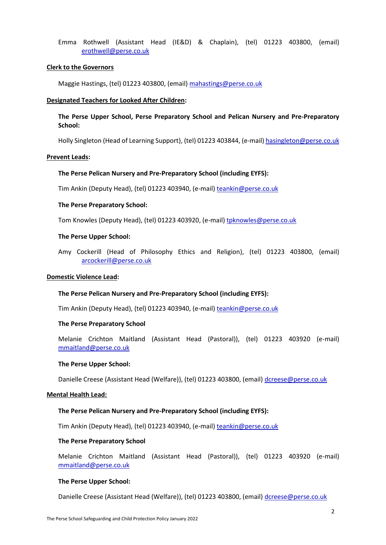Emma Rothwell (Assistant Head (IE&D) & Chaplain), (tel) 01223 403800, (email) [erothwell@perse.co.uk](mailto:erothwell@perse.co.uk)

#### **Clerk to the Governors**

Maggie Hastings, (tel) 01223 403800, (email) [mahastings@perse.co.uk](mailto:mahastings@perse.co.uk)

#### **Designated Teachers for Looked After Children:**

# **The Perse Upper School, Perse Preparatory School and Pelican Nursery and Pre-Preparatory School:**

Holly Singleton (Head of Learning Support), (tel) 01223 403844, (e-mail) [hasingleton@perse.co.uk](mailto:hasingleton@perse.co.uk)

#### **Prevent Leads:**

#### **The Perse Pelican Nursery and Pre-Preparatory School (including EYFS):**

Tim Ankin (Deputy Head), (tel) 01223 403940, (e-mail) [teankin@perse.co.uk](mailto:teankin@perse.co.uk)

#### **The Perse Preparatory School:**

Tom Knowles (Deputy Head), (tel) 01223 403920, (e-mail) tpknowles@perse.co.uk

#### **The Perse Upper School:**

Amy Cockerill (Head of Philosophy Ethics and Religion), (tel) 01223 403800, (email) [arcockerill@perse.co.uk](mailto:arcockerill@perse.co.uk)

## **Domestic Violence Lead:**

#### **The Perse Pelican Nursery and Pre-Preparatory School (including EYFS):**

Tim Ankin (Deputy Head), (tel) 01223 403940, (e-mail) [teankin@perse.co.uk](mailto:teankin@perse.co.uk)

#### **The Perse Preparatory School**

Melanie Crichton Maitland (Assistant Head (Pastoral)), (tel) 01223 403920 (e-mail) [mmaitland@perse.co.uk](mailto:mmaitland@perse.co.uk)

#### **The Perse Upper School:**

Danielle Creese (Assistant Head (Welfare)), (tel) 01223 403800, (email) [dcreese@perse.co.uk](mailto:dcreese@perse.co.uk)

#### **Mental Health Lead:**

#### **The Perse Pelican Nursery and Pre-Preparatory School (including EYFS):**

Tim Ankin (Deputy Head), (tel) 01223 403940, (e-mail) [teankin@perse.co.uk](mailto:teankin@perse.co.uk)

#### **The Perse Preparatory School**

Melanie Crichton Maitland (Assistant Head (Pastoral)), (tel) 01223 403920 (e-mail) [mmaitland@perse.co.uk](mailto:mmaitland@perse.co.uk)

#### **The Perse Upper School:**

Danielle Creese (Assistant Head (Welfare)), (tel) 01223 403800, (email) [dcreese@perse.co.uk](mailto:dcreese@perse.co.uk)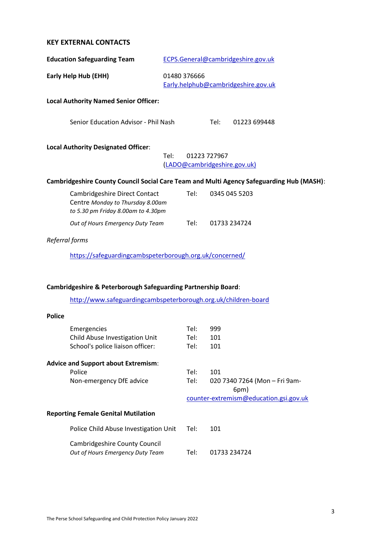# <span id="page-4-0"></span>**KEY EXTERNAL CONTACTS**

|                                                                             | ECPS.General@cambridgeshire.gov.uk |
|-----------------------------------------------------------------------------|------------------------------------|
| Early Help Hub (EHH)<br>01480 376666<br>Early.helphub@cambridgeshire.gov.uk |                                    |

# **Local Authority Named Senior Officer:**

Senior Education Advisor - Phil Nash Tel: 01223 699448

## **Local Authority Designated Officer**:

Tel: 01223 727967 [\(LADO@cambridgeshire.gov.uk\)](mailto:LADO@cambridgeshire.gov.uk)

# **Cambridgeshire County Council Social Care Team and Multi Agency Safeguarding Hub (MASH)**:

| Cambridgeshire Direct Contact      | Tel: | 0345 045 5203 |
|------------------------------------|------|---------------|
| Centre Monday to Thursday 8.00am   |      |               |
| to 5.30 pm Friday 8.00am to 4.30pm |      |               |
| Out of Hours Emergency Duty Team   | Tel: | 01733 234724  |

# *Referral forms*

<https://safeguardingcambspeterborough.org.uk/concerned/>

# **Cambridgeshire & Peterborough Safeguarding Partnership Board**:

<http://www.safeguardingcambspeterborough.org.uk/children-board>

| <b>Police</b> |                                                                          |      |                                        |
|---------------|--------------------------------------------------------------------------|------|----------------------------------------|
|               | Emergencies                                                              | Tel: | 999                                    |
|               | Child Abuse Investigation Unit                                           | Tel: | 101                                    |
|               | School's police liaison officer:                                         | Tel: | 101                                    |
|               | <b>Advice and Support about Extremism:</b>                               |      |                                        |
|               | Police                                                                   | Tel: | 101                                    |
|               | Non-emergency DfE advice                                                 | Tel: | 020 7340 7264 (Mon - Fri 9am-          |
|               |                                                                          |      | 6pm)                                   |
|               |                                                                          |      | counter-extremism@education.gsi.gov.uk |
|               |                                                                          |      |                                        |
|               | <b>Reporting Female Genital Mutilation</b>                               |      |                                        |
|               | Police Child Abuse Investigation Unit                                    | Tel: | 101                                    |
|               | <b>Cambridgeshire County Council</b><br>Out of Hours Emergency Duty Team | Tel: | 01733 234724                           |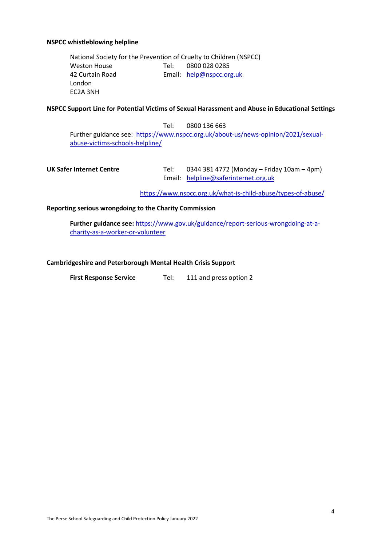#### **NSPCC whistleblowing helpline**

National Society for the Prevention of Cruelty to Children (NSPCC) Weston House Tel: 0800 028 0285 42 Curtain Road Email: [help@nspcc.org.uk](mailto:help@nspcc.org.uk) London EC2A 3NH

## **NSPCC Support Line for Potential Victims of Sexual Harassment and Abuse in Educational Settings**

Tel: 0800 136 663 Further guidance see: [https://www.nspcc.org.uk/about-us/news-opinion/2021/sexual](https://www.nspcc.org.uk/about-us/news-opinion/2021/sexual-abuse-victims-schools-helpline/)[abuse-victims-schools-helpline/](https://www.nspcc.org.uk/about-us/news-opinion/2021/sexual-abuse-victims-schools-helpline/)

UK Safer Internet Centre **Tel:** 0344 381 4772 (Monday – Friday 10am – 4pm) Email: [helpline@saferinternet.org.uk](mailto:helpline@saferinternet.org.uk)

<https://www.nspcc.org.uk/what-is-child-abuse/types-of-abuse/>

## **Reporting serious wrongdoing to the Charity Commission**

**Further guidance see:** [https://www.gov.uk/guidance/report-serious-wrongdoing-at-a](https://www.gov.uk/guidance/report-serious-wrongdoing-at-a-charity-as-a-worker-or-volunteer)[charity-as-a-worker-or-volunteer](https://www.gov.uk/guidance/report-serious-wrongdoing-at-a-charity-as-a-worker-or-volunteer)

#### **Cambridgeshire and Peterborough Mental Health Crisis Support**

**First Response Service** Tel: 111 and press option 2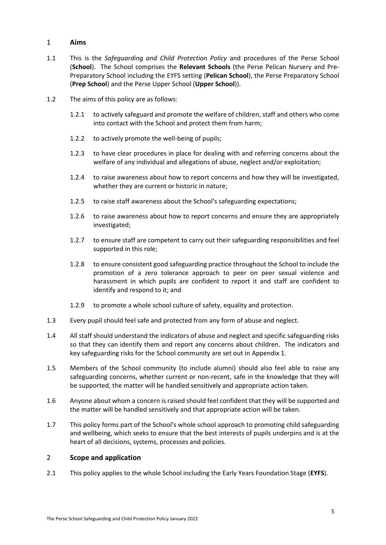# <span id="page-6-0"></span>1 **Aims**

- 1.1 This is the *Safeguarding and Child Protection Policy* and procedures of the Perse School (**School**). The School comprises the **Relevant Schools** (the Perse Pelican Nursery and Pre-Preparatory School including the EYFS setting (**Pelican School**), the Perse Preparatory School (**Prep School**) and the Perse Upper School (**Upper School**)).
- 1.2 The aims of this policy are as follows:
	- 1.2.1 to actively safeguard and promote the welfare of children, staff and others who come into contact with the School and protect them from harm;
	- 1.2.2 to actively promote the well-being of pupils;
	- 1.2.3 to have clear procedures in place for dealing with and referring concerns about the welfare of any individual and allegations of abuse, neglect and/or exploitation;
	- 1.2.4 to raise awareness about how to report concerns and how they will be investigated, whether they are current or historic in nature;
	- 1.2.5 to raise staff awareness about the School's safeguarding expectations;
	- 1.2.6 to raise awareness about how to report concerns and ensure they are appropriately investigated;
	- 1.2.7 to ensure staff are competent to carry out their safeguarding responsibilities and feel supported in this role;
	- 1.2.8 to ensure consistent good safeguarding practice throughout the School to include the promotion of a zero tolerance approach to peer on peer sexual violence and harassment in which pupils are confident to report it and staff are confident to identify and respond to it; and
	- 1.2.9 to promote a whole school culture of safety, equality and protection.
- 1.3 Every pupil should feel safe and protected from any form of abuse and neglect.
- 1.4 All staff should understand the indicators of abuse and neglect and specific safeguarding risks so that they can identify them and report any concerns about children. The indicators and key safeguarding risks for the School community are set out in [Appendix 1.](#page-29-0)
- 1.5 Members of the School community (to include alumni) should also feel able to raise any safeguarding concerns, whether current or non-recent, safe in the knowledge that they will be supported, the matter will be handled sensitively and appropriate action taken.
- 1.6 Anyone about whom a concern is raised should feel confident that they will be supported and the matter will be handled sensitively and that appropriate action will be taken.
- 1.7 This policy forms part of the School's whole school approach to promoting child safeguarding and wellbeing, which seeks to ensure that the best interests of pupils underpins and is at the heart of all decisions, systems, processes and policies.

# <span id="page-6-1"></span>2 **Scope and application**

2.1 This policy applies to the whole School including the Early Years Foundation Stage (**EYFS**).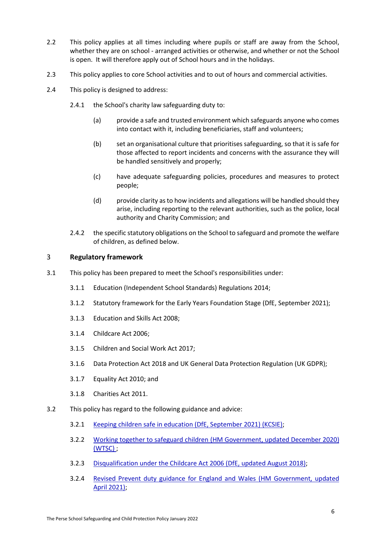- 2.2 This policy applies at all times including where pupils or staff are away from the School, whether they are on school - arranged activities or otherwise, and whether or not the School is open. It will therefore apply out of School hours and in the holidays.
- 2.3 This policy applies to core School activities and to out of hours and commercial activities.
- 2.4 This policy is designed to address:
	- 2.4.1 the School's charity law safeguarding duty to:
		- (a) provide a safe and trusted environment which safeguards anyone who comes into contact with it, including beneficiaries, staff and volunteers;
		- (b) set an organisational culture that prioritises safeguarding, so that it is safe for those affected to report incidents and concerns with the assurance they will be handled sensitively and properly;
		- (c) have adequate safeguarding policies, procedures and measures to protect people;
		- (d) provide clarity as to how incidents and allegations will be handled should they arise, including reporting to the relevant authorities, such as the police, local authority and Charity Commission; and
	- 2.4.2 the specific statutory obligations on the School to safeguard and promote the welfare of children, as defined below.

# <span id="page-7-0"></span>3 **Regulatory framework**

- 3.1 This policy has been prepared to meet the School's responsibilities under:
	- 3.1.1 Education (Independent School Standards) Regulations 2014;
	- 3.1.2 Statutory framework for the Early Years Foundation Stage (DfE, September 2021);
	- 3.1.3 Education and Skills Act 2008;
	- 3.1.4 Childcare Act 2006;
	- 3.1.5 Children and Social Work Act 2017;
	- 3.1.6 Data Protection Act 2018 and UK General Data Protection Regulation (UK GDPR);
	- 3.1.7 Equality Act 2010; and
	- 3.1.8 Charities Act 2011.
- 3.2 This policy has regard to the following guidance and advice:
	- 3.2.1 [Keeping children safe in education \(DfE, September 2021\) \(KCSIE\);](https://www.gov.uk/government/publications/keeping-children-safe-in-education--2)
	- 3.2.2 [Working together to safeguard children \(HM Government, updated December 2020\)](https://www.gov.uk/government/publications/working-together-to-safeguard-children--2)  [\(WTSC\)](https://www.gov.uk/government/publications/working-together-to-safeguard-children--2) ;
	- 3.2.3 [Disqualification under the Childcare Act 2006 \(DfE, updated August 2018\);](https://www.gov.uk/government/publications/disqualification-under-the-childcare-act-2006)
	- 3.2.4 [Revised Prevent duty guidance for England and Wales \(HM](https://www.gov.uk/government/publications/prevent-duty-guidance) Government, updated [April 2021\);](https://www.gov.uk/government/publications/prevent-duty-guidance)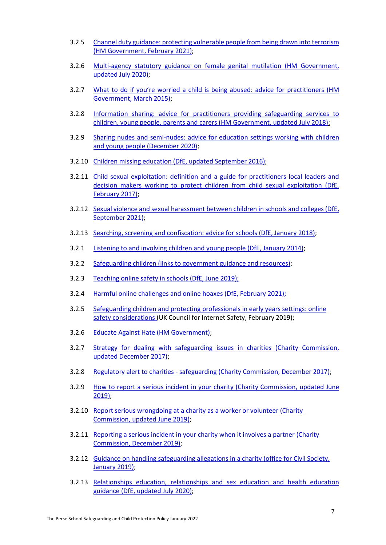- 3.2.5 [Channel duty guidance: protecting vulnerable people from being drawn into terrorism](https://www.gov.uk/government/publications/channel-guidance)  [\(HM Government, February 2021\);](https://www.gov.uk/government/publications/channel-guidance)
- 3.2.6 [Multi-agency statutory guidance on female genital mutilation \(HM Government,](https://www.gov.uk/government/publications/multi-agency-statutory-guidance-on-female-genital-mutilation)  [updated July 2020\);](https://www.gov.uk/government/publications/multi-agency-statutory-guidance-on-female-genital-mutilation)
- 3.2.7 [What to do if you're worried a child is being abused: advice for](https://www.gov.uk/government/publications/what-to-do-if-youre-worried-a-child-is-being-abused--2) practitioners (HM [Government, March 2015\);](https://www.gov.uk/government/publications/what-to-do-if-youre-worried-a-child-is-being-abused--2)
- 3.2.8 [Information sharing: advice for practitioners providing safeguarding services to](https://www.gov.uk/government/publications/safeguarding-practitioners-information-sharing-advice)  [children, young people, parents and carers \(HM Government, updated July 2018\);](https://www.gov.uk/government/publications/safeguarding-practitioners-information-sharing-advice)
- 3.2.9 [Sharing nudes and semi-nudes: advice for education settings working with children](https://www.gov.uk/government/publications/sharing-nudes-and-semi-nudes-advice-for-education-settings-working-with-children-and-young-people)  [and young people \(December 2020\);](https://www.gov.uk/government/publications/sharing-nudes-and-semi-nudes-advice-for-education-settings-working-with-children-and-young-people)
- 3.2.10 [Children missing education \(DfE, updated September 2016\);](https://www.gov.uk/government/publications/children-missing-education)
- 3.2.11 [Child sexual exploitation: definition and a guide for practitioners local leaders and](https://www.gov.uk/government/publications/child-sexual-exploitation-definition-and-guide-for-practitioners)  decision makers working to protect children from child sexual exploitation (DfE, [February](https://www.gov.uk/government/publications/child-sexual-exploitation-definition-and-guide-for-practitioners) 2017);
- 3.2.12 [Sexual violence and sexual harassment between children in schools and colleges \(DfE,](https://www.gov.uk/government/publications/sexual-violence-and-sexual-harassment-between-children-in-schools-and-colleges)  [September 2021\);](https://www.gov.uk/government/publications/sexual-violence-and-sexual-harassment-between-children-in-schools-and-colleges)
- 3.2.13 [Searching, screening and confiscation: advice for schools \(DfE, January 2018\);](https://www.gov.uk/government/publications/searching-screening-and-confiscation)
- 3.2.1 [Listening to and involving children and young people \(DfE, January 2014\);](https://dera.ioe.ac.uk/19522/1/Listening_to_and_involving_chidren_and_young_people.pdf)
- 3.2.2 [Safeguarding children \(links to government guidance and resources\);](https://www.gov.uk/topic/schools-colleges-childrens-services/safeguarding-children)
- 3.2.3 [Teaching online safety in schools](https://www.gov.uk/government/publications/teaching-online-safety-in-schools) (DfE, June 2019);
- 3.2.4 [Harmful online challenges and online hoaxes](https://www.gov.uk/government/publications/harmful-online-challenges-and-online-hoaxes) (DfE, February 2021);
- 3.2.5 Safeguarding children and protecting [professionals in early years settings: online](https://www.gov.uk/government/publications/safeguarding-children-and-protecting-professionals-in-early-years-settings-online-safety-considerations)  [safety considerations \(](https://www.gov.uk/government/publications/safeguarding-children-and-protecting-professionals-in-early-years-settings-online-safety-considerations)UK Council for Internet Safety, February 2019);
- 3.2.6 [Educate Against Hate \(HM Government\);](https://educateagainsthate.com/)
- 3.2.7 Strategy for dealing with safeguarding issues in charities (Charity Commission, [updated December 2017\);](https://www.gov.uk/government/publications/strategy-for-dealing-with-safeguarding-issues-in-charities/strategy-for-dealing-with-safeguarding-issues-in-charities)
- 3.2.8 Regulatory alert to charities [safeguarding \(Charity Commission, December 2017\);](https://www.gov.uk/government/news/regulatory-alert-to-charities-safeguarding)
- 3.2.9 [How to report a serious incident in your charity \(Charity Commission, updated June](https://www.gov.uk/guidance/how-to-report-a-serious-incident-in-your-charity)  [2019\);](https://www.gov.uk/guidance/how-to-report-a-serious-incident-in-your-charity)
- 3.2.10 Report serious wrongdoing at a charity as a worker or volunteer (Charity [Commission, updated June 2019\);](https://www.gov.uk/guidance/report-serious-wrongdoing-at-a-charity-as-a-worker-or-volunteer)
- 3.2.11 [Reporting a serious incident in your charity when it involves a partner \(Charity](https://www.gov.uk/guidance/reporting-a-serious-incident-in-your-charity-when-it-involves-a-partner)  Commission, [December 2019\);](https://www.gov.uk/guidance/reporting-a-serious-incident-in-your-charity-when-it-involves-a-partner)
- 3.2.12 [Guidance on handling safeguarding allegations in a charity \(office for Civil Society,](https://safeguarding.culture.gov.uk/handling-safeguarding-allegations-charity)  [January 2019\);](https://safeguarding.culture.gov.uk/handling-safeguarding-allegations-charity)
- 3.2.13 [Relationships education, relationships and sex education and health education](https://www.gov.uk/government/publications/relationships-education-relationships-and-sex-education-rse-and-health-education)  [guidance \(DfE, updated July 2020\);](https://www.gov.uk/government/publications/relationships-education-relationships-and-sex-education-rse-and-health-education)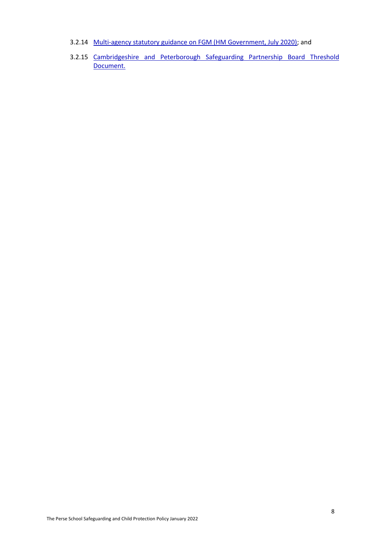- 3.2.14 [Multi-agency statutory guidance on FGM \(HM Government, July 2020\);](https://www.gov.uk/government/publications/multi-agency-statutory-guidance-on-female-genital-mutilation) and
- 3.2.15 [Cambridgeshire and Peterborough Safeguarding Partnership Board Threshold](http://www.safeguardingcambspeterborough.org.uk/children-board/professionals/procedures/threshold-document/)  [Document.](http://www.safeguardingcambspeterborough.org.uk/children-board/professionals/procedures/threshold-document/)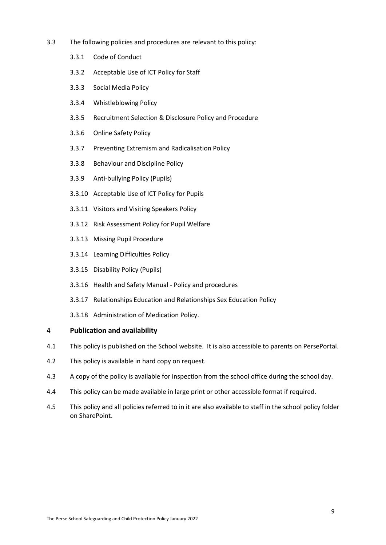- 3.3 The following policies and procedures are relevant to this policy:
	- 3.3.1 Code of Conduct
	- 3.3.2 Acceptable Use of ICT Policy for Staff
	- 3.3.3 Social Media Policy
	- 3.3.4 Whistleblowing Policy
	- 3.3.5 Recruitment Selection & Disclosure Policy and Procedure
	- 3.3.6 Online Safety Policy
	- 3.3.7 Preventing Extremism and Radicalisation Policy
	- 3.3.8 Behaviour and Discipline Policy
	- 3.3.9 Anti-bullying Policy (Pupils)
	- 3.3.10 Acceptable Use of ICT Policy for Pupils
	- 3.3.11 Visitors and Visiting Speakers Policy
	- 3.3.12 Risk Assessment Policy for Pupil Welfare
	- 3.3.13 Missing Pupil Procedure
	- 3.3.14 Learning Difficulties Policy
	- 3.3.15 Disability Policy (Pupils)
	- 3.3.16 Health and Safety Manual Policy and procedures
	- 3.3.17 Relationships Education and Relationships Sex Education Policy
	- 3.3.18 Administration of Medication Policy.

# <span id="page-10-0"></span>4 **Publication and availability**

- 4.1 This policy is published on the School website. It is also accessible to parents on PersePortal.
- 4.2 This policy is available in hard copy on request.
- 4.3 A copy of the policy is available for inspection from the school office during the school day.
- 4.4 This policy can be made available in large print or other accessible format if required.
- 4.5 This policy and all policies referred to in it are also available to staff in the school policy folder on SharePoint.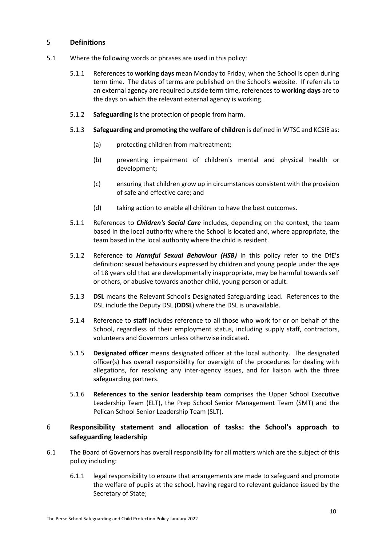# <span id="page-11-0"></span>5 **Definitions**

- 5.1 Where the following words or phrases are used in this policy:
	- 5.1.1 References to **working days** mean Monday to Friday, when the School is open during term time. The dates of terms are published on the School's website. If referrals to an external agency are required outside term time, references to **working days** are to the days on which the relevant external agency is working.
	- 5.1.2 **Safeguarding** is the protection of people from harm.
	- 5.1.3 **Safeguarding and promoting the welfare of children** is defined in WTSC and KCSIE as:
		- (a) protecting children from maltreatment;
		- (b) preventing impairment of children's mental and physical health or development;
		- (c) ensuring that children grow up in circumstances consistent with the provision of safe and effective care; and
		- (d) taking action to enable all children to have the best outcomes.
	- 5.1.1 References to *Children's Social Care* includes, depending on the context, the team based in the local authority where the School is located and, where appropriate, the team based in the local authority where the child is resident.
	- 5.1.2 Reference to *Harmful Sexual Behaviour (HSB)* in this policy refer to the DfE's definition: sexual behaviours expressed by children and young people under the age of 18 years old that are developmentally inappropriate, may be harmful towards self or others, or abusive towards another child, young person or adult.
	- 5.1.3 **DSL** means the Relevant School's Designated Safeguarding Lead. References to the DSL include the Deputy DSL (**DDSL**) where the DSL is unavailable.
	- 5.1.4 Reference to **staff** includes reference to all those who work for or on behalf of the School, regardless of their employment status, including supply staff, contractors, volunteers and Governors unless otherwise indicated.
	- 5.1.5 **Designated officer** means designated officer at the local authority. The designated officer(s) has overall responsibility for oversight of the procedures for dealing with allegations, for resolving any inter-agency issues, and for liaison with the three safeguarding partners.
	- 5.1.6 **References to the senior leadership team** comprises the Upper School Executive Leadership Team (ELT), the Prep School Senior Management Team (SMT) and the Pelican School Senior Leadership Team (SLT).

# <span id="page-11-1"></span>6 **Responsibility statement and allocation of tasks: the School's approach to safeguarding leadership**

- 6.1 The Board of Governors has overall responsibility for all matters which are the subject of this policy including:
	- 6.1.1 legal responsibility to ensure that arrangements are made to safeguard and promote the welfare of pupils at the school, having regard to relevant guidance issued by the Secretary of State;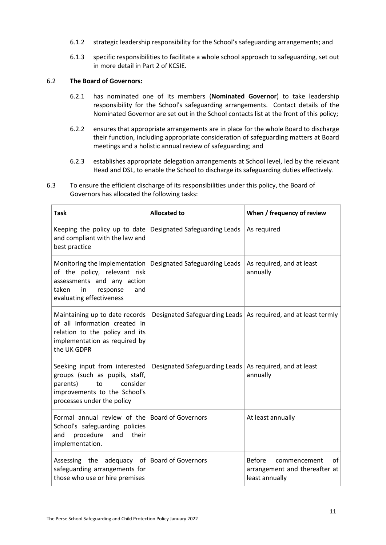- 6.1.2 strategic leadership responsibility for the School's safeguarding arrangements; and
- 6.1.3 specific responsibilities to facilitate a whole school approach to safeguarding, set out in more detail in Part 2 of KCSIE.

# 6.2 **The Board of Governors:**

- 6.2.1 has nominated one of its members (**Nominated Governor**) to take leadership responsibility for the School's safeguarding arrangements. Contact details of the Nominated Governor are set out in the School contacts list at the front of this policy;
- 6.2.2 ensures that appropriate arrangements are in place for the whole Board to discharge their function, including appropriate consideration of safeguarding matters at Board meetings and a holistic annual review of safeguarding; and
- 6.2.3 establishes appropriate delegation arrangements at School level, led by the relevant Head and DSL, to enable the School to discharge its safeguarding duties effectively.

| <b>Task</b>                                                                                                                                                                               | <b>Allocated to</b>                  | When / frequency of review                                                             |
|-------------------------------------------------------------------------------------------------------------------------------------------------------------------------------------------|--------------------------------------|----------------------------------------------------------------------------------------|
| Keeping the policy up to date<br>and compliant with the law and<br>best practice                                                                                                          | <b>Designated Safeguarding Leads</b> | As required                                                                            |
| Monitoring the implementation   Designated Safeguarding Leads<br>of the policy, relevant risk<br>assessments and any action<br>taken<br>in<br>response<br>and<br>evaluating effectiveness |                                      | As required, and at least<br>annually                                                  |
| Maintaining up to date records<br>of all information created in<br>relation to the policy and its<br>implementation as required by<br>the UK GDPR                                         | Designated Safeguarding Leads        | As required, and at least termly                                                       |
| Seeking input from interested<br>groups (such as pupils, staff,<br>consider<br>parents)<br>to<br>improvements to the School's<br>processes under the policy                               | <b>Designated Safeguarding Leads</b> | As required, and at least<br>annually                                                  |
| Formal annual review of the Board of Governors<br>School's safeguarding policies<br>procedure<br>their<br>and<br>and<br>implementation.                                                   |                                      | At least annually                                                                      |
| Assessing the<br>safeguarding arrangements for<br>those who use or hire premises                                                                                                          | adequacy of Board of Governors       | <b>Before</b><br>οf<br>commencement<br>arrangement and thereafter at<br>least annually |

6.3 To ensure the efficient discharge of its responsibilities under this policy, the Board of Governors has allocated the following tasks: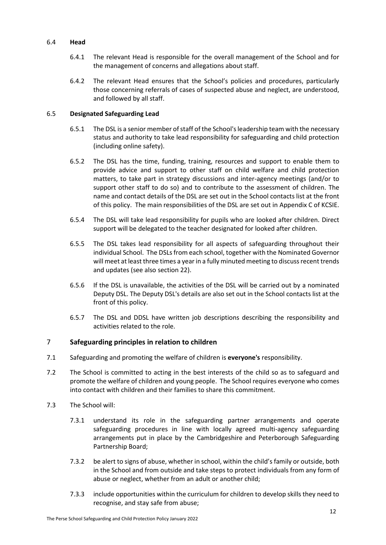# 6.4 **Head**

- 6.4.1 The relevant Head is responsible for the overall management of the School and for the management of concerns and allegations about staff.
- 6.4.2 The relevant Head ensures that the School's policies and procedures, particularly those concerning referrals of cases of suspected abuse and neglect, are understood, and followed by all staff.

# 6.5 **Designated Safeguarding Lead**

- 6.5.1 The DSL is a senior member of staff of the School's leadership team with the necessary status and authority to take lead responsibility for safeguarding and child protection (including online safety).
- 6.5.2 The DSL has the time, funding, training, resources and support to enable them to provide advice and support to other staff on child welfare and child protection matters, to take part in strategy discussions and inter-agency meetings (and/or to support other staff to do so) and to contribute to the assessment of children. The name and contact details of the DSL are set out in the School contacts list at the front of this policy. The main responsibilities of the DSL are set out in Appendix C of KCSIE.
- <span id="page-13-2"></span>6.5.4 The DSL will take lead responsibility for pupils who are looked after children. Direct support will be delegated to the teacher designated for looked after children.
- <span id="page-13-1"></span>6.5.5 The DSL takes lead responsibility for all aspects of safeguarding throughout their individual School. The DSLs from each school, together with the Nominated Governor will meet at least three times a year in a fully minuted meeting to discuss recent trends and updates (see also section [22\)](#page-25-1).
- 6.5.6 If the DSL is unavailable, the activities of the DSL will be carried out by a nominated Deputy DSL. The Deputy DSL's details are also set out in the School contacts list at the front of this policy.
- 6.5.7 The DSL and DDSL have written job descriptions describing the responsibility and activities related to the role.

# <span id="page-13-0"></span>7 **Safeguarding principles in relation to children**

- 7.1 Safeguarding and promoting the welfare of children is **everyone's** responsibility.
- 7.2 The School is committed to acting in the best interests of the child so as to safeguard and promote the welfare of children and young people. The School requires everyone who comes into contact with children and their families to share this commitment.
- 7.3 The School will:
	- 7.3.1 understand its role in the safeguarding partner arrangements and operate safeguarding procedures in line with locally agreed multi-agency safeguarding arrangements put in place by the Cambridgeshire and Peterborough Safeguarding Partnership Board;
	- 7.3.2 be alert to signs of abuse, whether in school, within the child's family or outside, both in the School and from outside and take steps to protect individuals from any form of abuse or neglect, whether from an adult or another child;
	- 7.3.3 include opportunities within the curriculum for children to develop skills they need to recognise, and stay safe from abuse;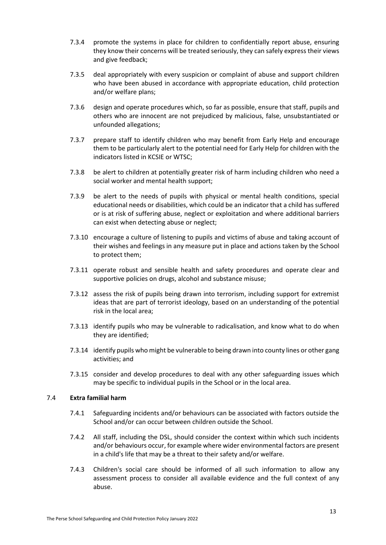- 7.3.4 promote the systems in place for children to confidentially report abuse, ensuring they know their concerns will be treated seriously, they can safely express their views and give feedback;
- 7.3.5 deal appropriately with every suspicion or complaint of abuse and support children who have been abused in accordance with appropriate education, child protection and/or welfare plans;
- 7.3.6 design and operate procedures which, so far as possible, ensure that staff, pupils and others who are innocent are not prejudiced by malicious, false, unsubstantiated or unfounded allegations;
- 7.3.7 prepare staff to identify children who may benefit from Early Help and encourage them to be particularly alert to the potential need for Early Help for children with the indicators listed in KCSIE or WTSC;
- 7.3.8 be alert to children at potentially greater risk of harm including children who need a social worker and mental health support;
- 7.3.9 be alert to the needs of pupils with physical or mental health conditions, special educational needs or disabilities, which could be an indicator that a child has suffered or is at risk of suffering abuse, neglect or exploitation and where additional barriers can exist when detecting abuse or neglect;
- 7.3.10 encourage a culture of listening to pupils and victims of abuse and taking account of their wishes and feelings in any measure put in place and actions taken by the School to protect them;
- 7.3.11 operate robust and sensible health and safety procedures and operate clear and supportive policies on drugs, alcohol and substance misuse;
- 7.3.12 assess the risk of pupils being drawn into terrorism, including support for extremist ideas that are part of terrorist ideology, based on an understanding of the potential risk in the local area;
- 7.3.13 identify pupils who may be vulnerable to radicalisation, and know what to do when they are identified;
- 7.3.14 identify pupils who might be vulnerable to being drawn into county lines or other gang activities; and
- 7.3.15 consider and develop procedures to deal with any other safeguarding issues which may be specific to individual pupils in the School or in the local area.

# 7.4 **Extra familial harm**

- 7.4.1 Safeguarding incidents and/or behaviours can be associated with factors outside the School and/or can occur between children outside the School.
- 7.4.2 All staff, including the DSL, should consider the context within which such incidents and/or behaviours occur, for example where wider environmental factors are present in a child's life that may be a threat to their safety and/or welfare.
- 7.4.3 Children's social care should be informed of all such information to allow any assessment process to consider all available evidence and the full context of any abuse.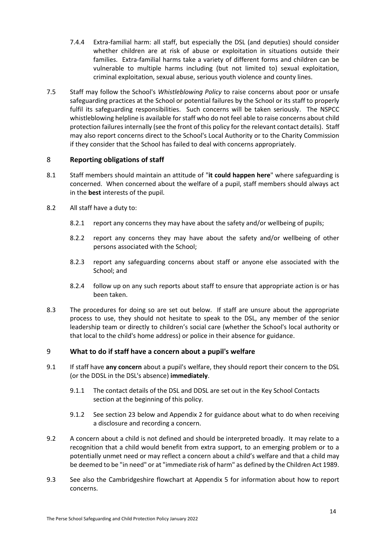- 7.4.4 Extra-familial harm: all staff, but especially the DSL (and deputies) should consider whether children are at risk of abuse or exploitation in situations outside their families. Extra-familial harms take a variety of different forms and children can be vulnerable to multiple harms including (but not limited to) sexual exploitation, criminal exploitation, sexual abuse, serious youth violence and county lines.
- 7.5 Staff may follow the School's *Whistleblowing Policy* to raise concerns about poor or unsafe safeguarding practices at the School or potential failures by the School or its staff to properly fulfil its safeguarding responsibilities. Such concerns will be taken seriously. The NSPCC whistleblowing helpline is available for staff who do not feel able to raise concerns about child protection failures internally (see the front of this policy for the relevant contact details). Staff may also report concerns direct to the School's Local Authority or to the Charity Commission if they consider that the School has failed to deal with concerns appropriately.

# <span id="page-15-0"></span>8 **Reporting obligations of staff**

- 8.1 Staff members should maintain an attitude of "**it could happen here**" where safeguarding is concerned. When concerned about the welfare of a pupil, staff members should always act in the **best** interests of the pupil.
- 8.2 All staff have a duty to:
	- 8.2.1 report any concerns they may have about the safety and/or wellbeing of pupils;
	- 8.2.2 report any concerns they may have about the safety and/or wellbeing of other persons associated with the School;
	- 8.2.3 report any safeguarding concerns about staff or anyone else associated with the School; and
	- 8.2.4 follow up on any such reports about staff to ensure that appropriate action is or has been taken.
- 8.3 The procedures for doing so are set out below. If staff are unsure about the appropriate process to use, they should not hesitate to speak to the DSL, any member of the senior leadership team or directly to children's social care (whether the School's local authority or that local to the child's home address) or police in their absence for guidance.

# <span id="page-15-1"></span>9 **What to do if staff have a concern about a pupil's welfare**

- 9.1 If staff have **any concern** about a pupil's welfare, they should report their concern to the DSL (or the DDSL in the DSL's absence) **immediately**.
	- 9.1.1 The contact details of the DSL and DDSL are set out in the Key School Contacts section at the beginning of this policy.
	- 9.1.2 See section [23](#page-26-0) below and [Appendix 2](#page-43-0) for guidance about what to do when receiving a disclosure and recording a concern.
- 9.2 A concern about a child is not defined and should be interpreted broadly. It may relate to a recognition that a child would benefit from extra support, to an emerging problem or to a potentially unmet need or may reflect a concern about a child's welfare and that a child may be deemed to be "in need" or at "immediate risk of harm" as defined by the Children Act 1989.
- 9.3 See also the Cambridgeshire flowchart at [Appendix 5](#page-54-0) for information about how to report concerns.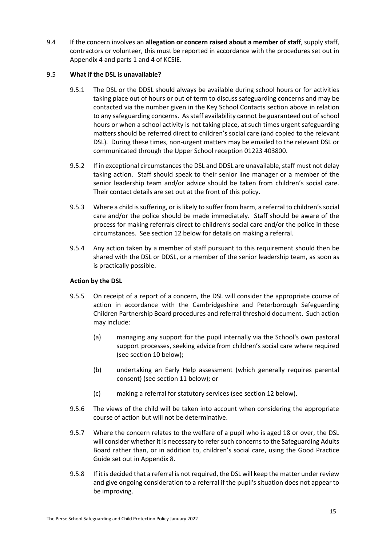9.4 If the concern involves an **allegation or concern raised about a member of staff**, supply staff, contractors or volunteer, this must be reported in accordance with the procedures set out in [Appendix 4](#page-49-0) and parts 1 and 4 of KCSIE.

# 9.5 **What if the DSL is unavailable?**

- 9.5.1 The DSL or the DDSL should always be available during school hours or for activities taking place out of hours or out of term to discuss safeguarding concerns and may be contacted via the number given in the Key School Contacts section above in relation to any safeguarding concerns. As staff availability cannot be guaranteed out of school hours or when a school activity is not taking place, at such times urgent safeguarding matters should be referred direct to children's social care (and copied to the relevant DSL). During these times, non-urgent matters may be emailed to the relevant DSL or communicated through the Upper School reception 01223 403800.
- 9.5.2 If in exceptional circumstances the DSL and DDSL are unavailable, staff must not delay taking action. Staff should speak to their senior line manager or a member of the senior leadership team and/or advice should be taken from children's social care. Their contact details are set out at the front of this policy.
- 9.5.3 Where a child is suffering, or is likely to suffer from harm, a referral to children's social care and/or the police should be made immediately. Staff should be aware of the process for making referrals direct to children's social care and/or the police in these circumstances. See sectio[n 12](#page-18-0) below for details on making a referral.
- 9.5.4 Any action taken by a member of staff pursuant to this requirement should then be shared with the DSL or DDSL, or a member of the senior leadership team, as soon as is practically possible.

# **Action by the DSL**

- 9.5.5 On receipt of a report of a concern, the DSL will consider the appropriate course of action in accordance with the Cambridgeshire and Peterborough Safeguarding Children Partnership Board procedures and referral threshold document. Such action may include:
	- (a) managing any support for the pupil internally via the School's own pastoral support processes, seeking advice from children's social care where required (see section [10](#page-17-0) below);
	- (b) undertaking an Early Help assessment (which generally requires parental consent) (see section [11](#page-17-1) below); or
	- (c) making a referral for statutory services (see section [12](#page-18-0) below).
- 9.5.6 The views of the child will be taken into account when considering the appropriate course of action but will not be determinative.
- 9.5.7 Where the concern relates to the welfare of a pupil who is aged 18 or over, the DSL will consider whether it is necessary to refer such concerns to the Safeguarding Adults Board rather than, or in addition to, children's social care, using the Good Practice Guide set out i[n Appendix 8.](#page-59-0)
- 9.5.8 If it is decided that a referral is not required, the DSL will keep the matter under review and give ongoing consideration to a referral if the pupil's situation does not appear to be improving.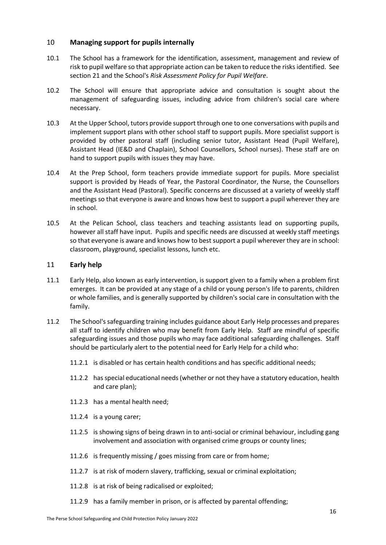# <span id="page-17-0"></span>10 **Managing support for pupils internally**

- 10.1 The School has a framework for the identification, assessment, management and review of risk to pupil welfare so that appropriate action can be taken to reduce the risks identified. See sectio[n 21](#page-25-0) and the School's *Risk Assessment Policy for Pupil Welfare*.
- 10.2 The School will ensure that appropriate advice and consultation is sought about the management of safeguarding issues, including advice from children's social care where necessary.
- 10.3 At the Upper School, tutors provide support through one to one conversations with pupils and implement support plans with other school staff to support pupils. More specialist support is provided by other pastoral staff (including senior tutor, Assistant Head (Pupil Welfare), Assistant Head (IE&D and Chaplain), School Counsellors, School nurses). These staff are on hand to support pupils with issues they may have.
- 10.4 At the Prep School, form teachers provide immediate support for pupils. More specialist support is provided by Heads of Year, the Pastoral Coordinator, the Nurse, the Counsellors and the Assistant Head (Pastoral). Specific concerns are discussed at a variety of weekly staff meetings so that everyone is aware and knows how best to support a pupil wherever they are in school.
- 10.5 At the Pelican School, class teachers and teaching assistants lead on supporting pupils, however all staff have input. Pupils and specific needs are discussed at weekly staff meetings so that everyone is aware and knows how to best support a pupil wherever they are in school: classroom, playground, specialist lessons, lunch etc.

# <span id="page-17-1"></span>11 **Early help**

- 11.1 Early Help, also known as early intervention, is support given to a family when a problem first emerges. It can be provided at any stage of a child or young person's life to parents, children or whole families, and is generally supported by children's social care in consultation with the family.
- 11.2 The School's safeguarding training includes guidance about Early Help processes and prepares all staff to identify children who may benefit from Early Help. Staff are mindful of specific safeguarding issues and those pupils who may face additional safeguarding challenges. Staff should be particularly alert to the potential need for Early Help for a child who:
	- 11.2.1 is disabled or has certain health conditions and has specific additional needs;
	- 11.2.2 has special educational needs (whether or not they have a statutory education, health and care plan);
	- 11.2.3 has a mental health need;
	- 11.2.4 is a young carer;
	- 11.2.5 is showing signs of being drawn in to anti-social or criminal behaviour, including gang involvement and association with organised crime groups or county lines;
	- 11.2.6 is frequently missing / goes missing from care or from home;
	- 11.2.7 is at risk of modern slavery, trafficking, sexual or criminal exploitation;
	- 11.2.8 is at risk of being radicalised or exploited;
	- 11.2.9 has a family member in prison, or is affected by parental offending;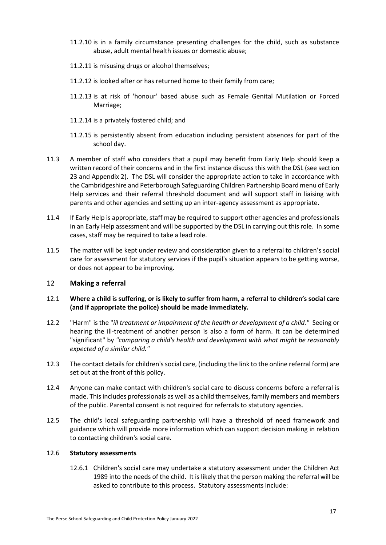- 11.2.10 is in a family circumstance presenting challenges for the child, such as substance abuse, adult mental health issues or domestic abuse;
- 11.2.11 is misusing drugs or alcohol themselves;
- 11.2.12 is looked after or has returned home to their family from care;
- 11.2.13 is at risk of 'honour' based abuse such as Female Genital Mutilation or Forced Marriage;
- 11.2.14 is a privately fostered child; and
- 11.2.15 is persistently absent from education including persistent absences for part of the school day.
- 11.3 A member of staff who considers that a pupil may benefit from Early Help should keep a written record of their concerns and in the first instance discuss this with the DSL (see section [23](#page-26-0) and [Appendix 2\)](#page-43-0). The DSL will consider the appropriate action to take in accordance with the Cambridgeshire and Peterborough Safeguarding Children Partnership Board menu of Early Help services and their referral threshold document and will support staff in liaising with parents and other agencies and setting up an inter-agency assessment as appropriate.
- 11.4 If Early Help is appropriate, staff may be required to support other agencies and professionals in an Early Help assessment and will be supported by the DSL in carrying out this role. In some cases, staff may be required to take a lead role.
- 11.5 The matter will be kept under review and consideration given to a referral to children's social care for assessment for statutory services if the pupil's situation appears to be getting worse, or does not appear to be improving.

# <span id="page-18-0"></span>12 **Making a referral**

- 12.1 **Where a child is suffering, or is likely to suffer from harm, a referral to children's social care (and if appropriate the police) should be made immediately.**
- 12.2 "Harm" is the "*ill treatment or impairment of the health or development of a child."* Seeing or hearing the ill-treatment of another person is also a form of harm. It can be determined "significant" by *"comparing a child's health and development with what might be reasonably expected of a similar child."*
- 12.3 The contact details for children'ssocial care, (including the link to the online referral form) are set out at the front of this policy.
- 12.4 Anyone can make contact with children's social care to discuss concerns before a referral is made. This includes professionals as well as a child themselves, family members and members of the public. Parental consent is not required for referrals to statutory agencies.
- 12.5 The child's local safeguarding partnership will have a threshold of need framework and guidance which will provide more information which can support decision making in relation to contacting children's social care.

#### 12.6 **Statutory assessments**

12.6.1 Children's social care may undertake a statutory assessment under the Children Act 1989 into the needs of the child. It is likely that the person making the referral will be asked to contribute to this process. Statutory assessments include: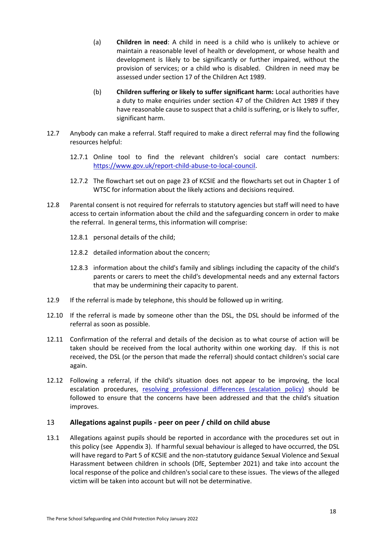- (a) **Children in need**: A child in need is a child who is unlikely to achieve or maintain a reasonable level of health or development, or whose health and development is likely to be significantly or further impaired, without the provision of services; or a child who is disabled. Children in need may be assessed under section 17 of the Children Act 1989.
- (b) **Children suffering or likely to suffer significant harm:** Local authorities have a duty to make enquiries under section 47 of the Children Act 1989 if they have reasonable cause to suspect that a child is suffering, or is likely to suffer, significant harm.
- 12.7 Anybody can make a referral. Staff required to make a direct referral may find the following resources helpful:
	- 12.7.1 Online tool to find the relevant children's social care contact numbers: [https://www.gov.uk/report-child-abuse-to-local-council.](https://www.gov.uk/report-child-abuse-to-local-council)
	- 12.7.2 The flowchart set out on page 23 of KCSIE and the flowcharts set out in Chapter 1 of WTSC for information about the likely actions and decisions required.
- 12.8 Parental consent is not required for referrals to statutory agencies but staff will need to have access to certain information about the child and the safeguarding concern in order to make the referral. In general terms, this information will comprise:
	- 12.8.1 personal details of the child;
	- 12.8.2 detailed information about the concern;
	- 12.8.3 information about the child's family and siblings including the capacity of the child's parents or carers to meet the child's developmental needs and any external factors that may be undermining their capacity to parent.
- 12.9 If the referral is made by telephone, this should be followed up in writing.
- 12.10 If the referral is made by someone other than the DSL, the DSL should be informed of the referral as soon as possible.
- 12.11 Confirmation of the referral and details of the decision as to what course of action will be taken should be received from the local authority within one working day. If this is not received, the DSL (or the person that made the referral) should contact children's social care again.
- 12.12 Following a referral, if the child's situation does not appear to be improving, the local escalation procedures, [resolving professional differences \(escalation policy\)](https://safeguardingcambspeterborough.org.uk/children-board/professionals/procedures/escalation_policy/) should be followed to ensure that the concerns have been addressed and that the child's situation improves.

# <span id="page-19-0"></span>13 **Allegations against pupils - peer on peer / child on child abuse**

13.1 Allegations against pupils should be reported in accordance with the procedures set out in this policy (see [Appendix 3\)](#page-45-0). If harmful sexual behaviour is alleged to have occurred, the DSL will have regard to Part 5 of KCSIE and the non-statutory guidance Sexual Violence and Sexual Harassment between children in schools (DfE, September 2021) and take into account the local response of the police and children's social care to these issues. The views of the alleged victim will be taken into account but will not be determinative.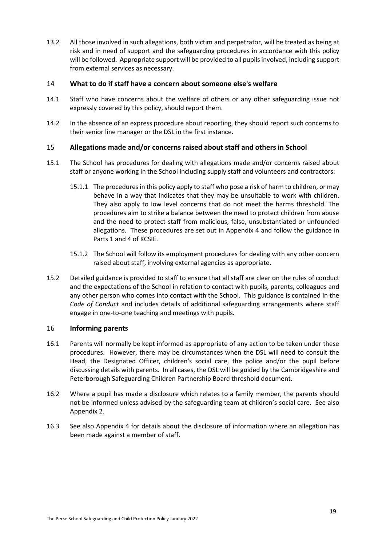13.2 All those involved in such allegations, both victim and perpetrator, will be treated as being at risk and in need of support and the safeguarding procedures in accordance with this policy will be followed. Appropriate support will be provided to all pupils involved, including support from external services as necessary.

# <span id="page-20-0"></span>14 **What to do if staff have a concern about someone else's welfare**

- 14.1 Staff who have concerns about the welfare of others or any other safeguarding issue not expressly covered by this policy, should report them.
- 14.2 In the absence of an express procedure about reporting, they should report such concerns to their senior line manager or the DSL in the first instance.

# <span id="page-20-1"></span>15 **Allegations made and/or concerns raised about staff and others in School**

- 15.1 The School has procedures for dealing with allegations made and/or concerns raised about staff or anyone working in the School including supply staff and volunteers and contractors:
	- 15.1.1 The procedures in this policy apply to staff who pose a risk of harm to children, or may behave in a way that indicates that they may be unsuitable to work with children. They also apply to low level concerns that do not meet the harms threshold. The procedures aim to strike a balance between the need to protect children from abuse and the need to protect staff from malicious, false, unsubstantiated or unfounded allegations. These procedures are set out in [Appendix 4](#page-49-0) and follow the guidance in Parts 1 and 4 of KCSIE.
	- 15.1.2 The School will follow its employment procedures for dealing with any other concern raised about staff, involving external agencies as appropriate.
- 15.2 Detailed guidance is provided to staff to ensure that all staff are clear on the rules of conduct and the expectations of the School in relation to contact with pupils, parents, colleagues and any other person who comes into contact with the School. This guidance is contained in the *Code of Conduct* and includes details of additional safeguarding arrangements where staff engage in one-to-one teaching and meetings with pupils.

# <span id="page-20-2"></span>16 **Informing parents**

- 16.1 Parents will normally be kept informed as appropriate of any action to be taken under these procedures. However, there may be circumstances when the DSL will need to consult the Head, the Designated Officer, children's social care, the police and/or the pupil before discussing details with parents. In all cases, the DSL will be guided by the Cambridgeshire and Peterborough Safeguarding Children Partnership Board threshold document.
- 16.2 Where a pupil has made a disclosure which relates to a family member, the parents should not be informed unless advised by the safeguarding team at children's social care. See also [Appendix 2.](#page-43-0)
- 16.3 See also [Appendix 4](#page-49-0) for details about the disclosure of information where an allegation has been made against a member of staff.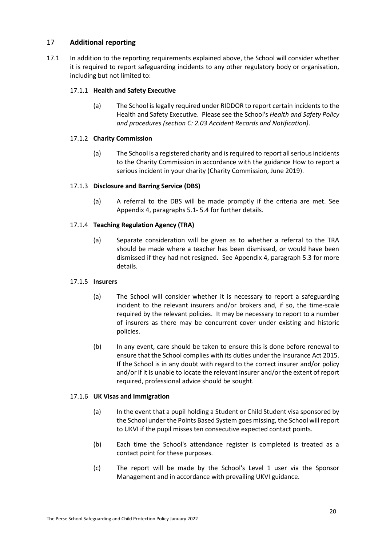# <span id="page-21-0"></span>17 **Additional reporting**

17.1 In addition to the reporting requirements explained above, the School will consider whether it is required to report safeguarding incidents to any other regulatory body or organisation, including but not limited to:

# 17.1.1 **Health and Safety Executive**

(a) The School is legally required under RIDDOR to report certain incidents to the Health and Safety Executive. Please see the School's *Health and Safety Policy and procedures (section C: 2.03 Accident Records and Notification)*.

# 17.1.2 **Charity Commission**

(a) The School is a registered charity and is required to report all serious incidents to the Charity Commission in accordance with the guidance How to report a serious incident in your charity (Charity Commission, June 2019).

# 17.1.3 **Disclosure and Barring Service (DBS)**

(a) A referral to the DBS will be made promptly if the criteria are met. See [Appendix 4,](#page-49-0) paragraphs [5.1-](#page-52-0) [5.4](#page-53-0) for further details.

# 17.1.4 **Teaching Regulation Agency (TRA)**

(a) Separate consideration will be given as to whether a referral to the TRA should be made where a teacher has been dismissed, or would have been dismissed if they had not resigned. See [Appendix 4,](#page-49-0) paragraph [5.3](#page-53-1) for more details.

# 17.1.5 **Insurers**

- (a) The School will consider whether it is necessary to report a safeguarding incident to the relevant insurers and/or brokers and, if so, the time-scale required by the relevant policies. It may be necessary to report to a number of insurers as there may be concurrent cover under existing and historic policies.
- (b) In any event, care should be taken to ensure this is done before renewal to ensure that the School complies with its duties under the Insurance Act 2015. If the School is in any doubt with regard to the correct insurer and/or policy and/or if it is unable to locate the relevant insurer and/or the extent of report required, professional advice should be sought.

# 17.1.6 **UK Visas and Immigration**

- (a) In the event that a pupil holding a Student or Child Student visa sponsored by the School under the Points Based System goes missing, the School will report to UKVI if the pupil misses ten consecutive expected contact points.
- (b) Each time the School's attendance register is completed is treated as a contact point for these purposes.
- (c) The report will be made by the School's Level 1 user via the Sponsor Management and in accordance with prevailing UKVI guidance.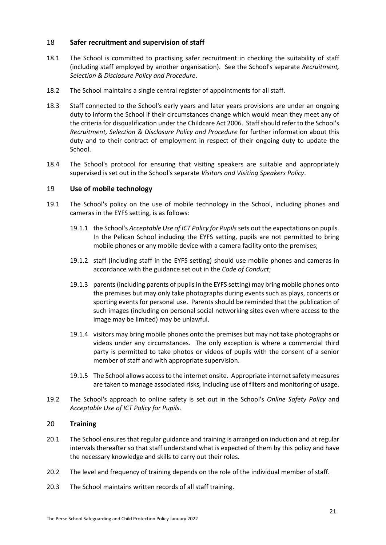# <span id="page-22-0"></span>18 **Safer recruitment and supervision of staff**

- 18.1 The School is committed to practising safer recruitment in checking the suitability of staff (including staff employed by another organisation). See the School's separate *Recruitment, Selection & Disclosure Policy and Procedure*.
- 18.2 The School maintains a single central register of appointments for all staff.
- 18.3 Staff connected to the School's early years and later years provisions are under an ongoing duty to inform the School if their circumstances change which would mean they meet any of the criteria for disqualification under the Childcare Act 2006. Staff should refer to the School's *Recruitment, Selection & Disclosure Policy and Procedure* for further information about this duty and to their contract of employment in respect of their ongoing duty to update the School.
- 18.4 The School's protocol for ensuring that visiting speakers are suitable and appropriately supervised is set out in the School's separate *Visitors and Visiting Speakers Policy*.

# <span id="page-22-1"></span>19 **Use of mobile technology**

- 19.1 The School's policy on the use of mobile technology in the School, including phones and cameras in the EYFS setting, is as follows:
	- 19.1.1 the School's *Acceptable Use of ICT Policy for Pupils*sets out the expectations on pupils. In the Pelican School including the EYFS setting, pupils are not permitted to bring mobile phones or any mobile device with a camera facility onto the premises;
	- 19.1.2 staff (including staff in the EYFS setting) should use mobile phones and cameras in accordance with the guidance set out in the *Code of Conduct*;
	- 19.1.3 parents (including parents of pupils in the EYFS setting) may bring mobile phones onto the premises but may only take photographs during events such as plays, concerts or sporting events for personal use. Parents should be reminded that the publication of such images (including on personal social networking sites even where access to the image may be limited) may be unlawful.
	- 19.1.4 visitors may bring mobile phones onto the premises but may not take photographs or videos under any circumstances. The only exception is where a commercial third party is permitted to take photos or videos of pupils with the consent of a senior member of staff and with appropriate supervision.
	- 19.1.5 The School allows access to the internet onsite. Appropriate internet safety measures are taken to manage associated risks, including use of filters and monitoring of usage.
- 19.2 The School's approach to online safety is set out in the School's *Online Safety Policy* and *Acceptable Use of ICT Policy for Pupils*.

# <span id="page-22-2"></span>20 **Training**

- 20.1 The School ensures that regular guidance and training is arranged on induction and at regular intervals thereafter so that staff understand what is expected of them by this policy and have the necessary knowledge and skills to carry out their roles.
- 20.2 The level and frequency of training depends on the role of the individual member of staff.
- 20.3 The School maintains written records of all staff training.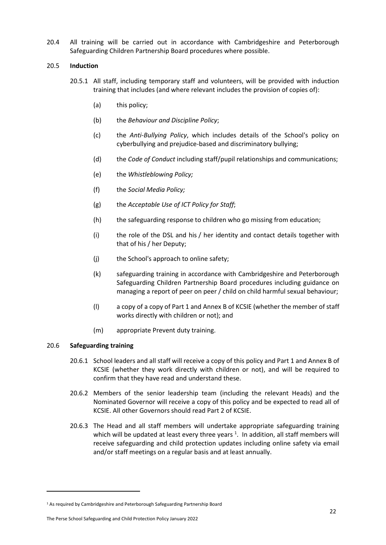20.4 All training will be carried out in accordance with Cambridgeshire and Peterborough Safeguarding Children Partnership Board procedures where possible.

## 20.5 **Induction**

- 20.5.1 All staff, including temporary staff and volunteers, will be provided with induction training that includes (and where relevant includes the provision of copies of):
	- (a) this policy;
	- (b) the *Behaviour and Discipline Policy*;
	- (c) the *Anti-Bullying Policy*, which includes details of the School's policy on cyberbullying and prejudice-based and discriminatory bullying;
	- (d) the *Code of Conduct* including staff/pupil relationships and communications;
	- (e) the *Whistleblowing Policy;*
	- (f) the *Social Media Policy;*
	- (g) the *Acceptable Use of ICT Policy for Staff*;
	- (h) the safeguarding response to children who go missing from education;
	- (i) the role of the DSL and his / her identity and contact details together with that of his / her Deputy;
	- (j) the School's approach to online safety;
	- (k) safeguarding training in accordance with Cambridgeshire and Peterborough Safeguarding Children Partnership Board procedures including guidance on managing a report of peer on peer / child on child harmful sexual behaviour;
	- (l) a copy of a copy of Part 1 and Annex B of KCSIE (whether the member of staff works directly with children or not); and
	- (m) appropriate Prevent duty training.

# 20.6 **Safeguarding training**

-

- 20.6.1 School leaders and all staff will receive a copy of this policy and Part 1 and Annex B of KCSIE (whether they work directly with children or not), and will be required to confirm that they have read and understand these.
- 20.6.2 Members of the senior leadership team (including the relevant Heads) and the Nominated Governor will receive a copy of this policy and be expected to read all of KCSIE. All other Governors should read Part 2 of KCSIE.
- 20.6.3 The Head and all staff members will undertake appropriate safeguarding training which will be updated at least every three years  $1$ . In addition, all staff members will receive safeguarding and child protection updates including online safety via email and/or staff meetings on a regular basis and at least annually.

The Perse School Safeguarding and Child Protection Policy January 2022

<sup>&</sup>lt;sup>1</sup> As required by Cambridgeshire and Peterborough Safeguarding Partnership Board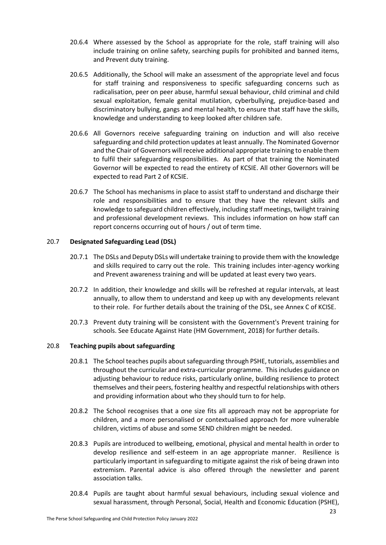- 20.6.4 Where assessed by the School as appropriate for the role, staff training will also include training on online safety, searching pupils for prohibited and banned items, and Prevent duty training.
- 20.6.5 Additionally, the School will make an assessment of the appropriate level and focus for staff training and responsiveness to specific safeguarding concerns such as radicalisation, peer on peer abuse, harmful sexual behaviour, child criminal and child sexual exploitation, female genital mutilation, cyberbullying, prejudice-based and discriminatory bullying, gangs and mental health, to ensure that staff have the skills, knowledge and understanding to keep looked after children safe.
- 20.6.6 All Governors receive safeguarding training on induction and will also receive safeguarding and child protection updates at least annually. The Nominated Governor and the Chair of Governors will receive additional appropriate training to enable them to fulfil their safeguarding responsibilities. As part of that training the Nominated Governor will be expected to read the entirety of KCSIE. All other Governors will be expected to read Part 2 of KCSIE.
- 20.6.7 The School has mechanisms in place to assist staff to understand and discharge their role and responsibilities and to ensure that they have the relevant skills and knowledge to safeguard children effectively, including staff meetings, twilight training and professional development reviews. This includes information on how staff can report concerns occurring out of hours / out of term time.

## 20.7 **Designated Safeguarding Lead (DSL)**

- 20.7.1 The DSLs and Deputy DSLs will undertake training to provide them with the knowledge and skills required to carry out the role. This training includes inter-agency working and Prevent awareness training and will be updated at least every two years.
- 20.7.2 In addition, their knowledge and skills will be refreshed at regular intervals, at least annually, to allow them to understand and keep up with any developments relevant to their role. For further details about the training of the DSL, see Annex C of KCISE.
- 20.7.3 Prevent duty training will be consistent with the Government's Prevent training for schools. See Educate Against Hate (HM Government, 2018) for further details.

# 20.8 **Teaching pupils about safeguarding**

- 20.8.1 The School teaches pupils about safeguarding through PSHE, tutorials, assemblies and throughout the curricular and extra-curricular programme. This includes guidance on adjusting behaviour to reduce risks, particularly online, building resilience to protect themselves and their peers, fostering healthy and respectful relationships with others and providing information about who they should turn to for help.
- 20.8.2 The School recognises that a one size fits all approach may not be appropriate for children, and a more personalised or contextualised approach for more vulnerable children, victims of abuse and some SEND children might be needed.
- 20.8.3 Pupils are introduced to wellbeing, emotional, physical and mental health in order to develop resilience and self-esteem in an age appropriate manner. Resilience is particularly important in safeguarding to mitigate against the risk of being drawn into extremism. Parental advice is also offered through the newsletter and parent association talks.
- 20.8.4 Pupils are taught about harmful sexual behaviours, including sexual violence and sexual harassment, through Personal, Social, Health and Economic Education (PSHE),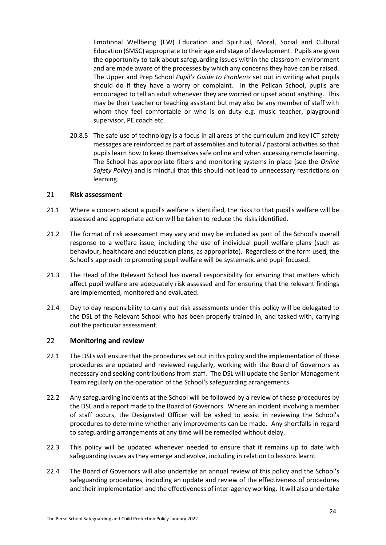Emotional Wellbeing (EW) Education and Spiritual, Moral, Social and Cultural Education (SMSC) appropriate to their age and stage of development. Pupils are given the opportunity to talk about safeguarding issues within the classroom environment and are made aware of the processes by which any concerns they have can be raised. The Upper and Prep School *Pupil's Guide to Problems* set out in writing what pupils should do if they have a worry or complaint. In the Pelican School, pupils are encouraged to tell an adult whenever they are worried or upset about anything. This may be their teacher or teaching assistant but may also be any member of staff with whom they feel comfortable or who is on duty e.g. music teacher, playground supervisor, PE coach etc.

20.8.5 The safe use of technology is a focus in all areas of the curriculum and key ICT safety messages are reinforced as part of assemblies and tutorial / pastoral activities so that pupils learn how to keep themselves safe online and when accessing remote learning. The School has appropriate filters and monitoring systems in place (see the *Online Safety Policy*) and is mindful that this should not lead to unnecessary restrictions on learning.

#### <span id="page-25-0"></span>21 **Risk assessment**

- 21.1 Where a concern about a pupil's welfare is identified, the risks to that pupil's welfare will be assessed and appropriate action will be taken to reduce the risks identified.
- 21.2 The format of risk assessment may vary and may be included as part of the School's overall response to a welfare issue, including the use of individual pupil welfare plans (such as behaviour, healthcare and education plans, as appropriate). Regardless of the form used, the School's approach to promoting pupil welfare will be systematic and pupil focused.
- 21.3 The Head of the Relevant School has overall responsibility for ensuring that matters which affect pupil welfare are adequately risk assessed and for ensuring that the relevant findings are implemented, monitored and evaluated.
- 21.4 Day to day responsibility to carry out risk assessments under this policy will be delegated to the DSL of the Relevant School who has been properly trained in, and tasked with, carrying out the particular assessment.

#### <span id="page-25-1"></span>22 **Monitoring and review**

- 22.1 The DSLs will ensure that the procedures set out in this policy and the implementation of these procedures are updated and reviewed regularly, working with the Board of Governors as necessary and seeking contributions from staff. The DSL will update the Senior Management Team regularly on the operation of the School's safeguarding arrangements.
- 22.2 Any safeguarding incidents at the School will be followed by a review of these procedures by the DSL and a report made to the Board of Governors. Where an incident involving a member of staff occurs, the Designated Officer will be asked to assist in reviewing the School's procedures to determine whether any improvements can be made. Any shortfalls in regard to safeguarding arrangements at any time will be remedied without delay.
- 22.3 This policy will be updated whenever needed to ensure that it remains up to date with safeguarding issues as they emerge and evolve, including in relation to lessons learnt
- 22.4 The Board of Governors will also undertake an annual review of this policy and the School's safeguarding procedures, including an update and review of the effectiveness of procedures and their implementation and the effectiveness of inter-agency working. It will also undertake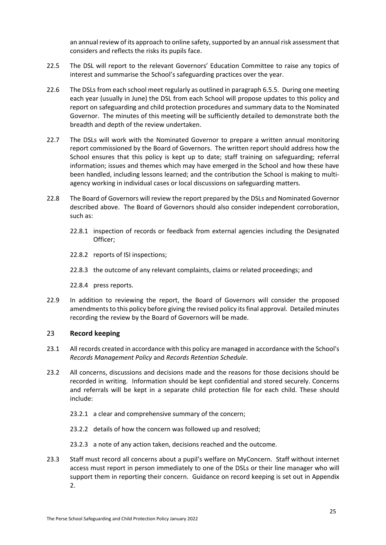an annual review of its approach to online safety, supported by an annual risk assessment that considers and reflects the risks its pupils face.

- 22.5 The DSL will report to the relevant Governors' Education Committee to raise any topics of interest and summarise the School's safeguarding practices over the year.
- 22.6 The DSLs from each school meet regularly as outlined in paragraph [6.5.5.](#page-13-1) During one meeting each year (usually in June) the DSL from each School will propose updates to this policy and report on safeguarding and child protection procedures and summary data to the Nominated Governor. The minutes of this meeting will be sufficiently detailed to demonstrate both the breadth and depth of the review undertaken.
- 22.7 The DSLs will work with the Nominated Governor to prepare a written annual monitoring report commissioned by the Board of Governors. The written report should address how the School ensures that this policy is kept up to date; staff training on safeguarding; referral information; issues and themes which may have emerged in the School and how these have been handled, including lessons learned; and the contribution the School is making to multiagency working in individual cases or local discussions on safeguarding matters.
- 22.8 The Board of Governors will review the report prepared by the DSLs and Nominated Governor described above. The Board of Governors should also consider independent corroboration, such as:
	- 22.8.1 inspection of records or feedback from external agencies including the Designated Officer;
	- 22.8.2 reports of ISI inspections;
	- 22.8.3 the outcome of any relevant complaints, claims or related proceedings; and
	- 22.8.4 press reports.
- 22.9 In addition to reviewing the report, the Board of Governors will consider the proposed amendments to this policy before giving the revised policy its final approval. Detailed minutes recording the review by the Board of Governors will be made.

# <span id="page-26-0"></span>23 **Record keeping**

- 23.1 All records created in accordance with this policy are managed in accordance with the School's *Records Management Policy* and *Records Retention Schedule*.
- 23.2 All concerns, discussions and decisions made and the reasons for those decisions should be recorded in writing. Information should be kept confidential and stored securely. Concerns and referrals will be kept in a separate child protection file for each child. These should include:
	- 23.2.1 a clear and comprehensive summary of the concern;
	- 23.2.2 details of how the concern was followed up and resolved;
	- 23.2.3 a note of any action taken, decisions reached and the outcome.
- 23.3 Staff must record all concerns about a pupil's welfare on MyConcern. Staff without internet access must report in person immediately to one of the DSLs or their line manager who will support them in reporting their concern. Guidance on record keeping is set out in [Appendix](#page-43-0)  [2.](#page-43-0)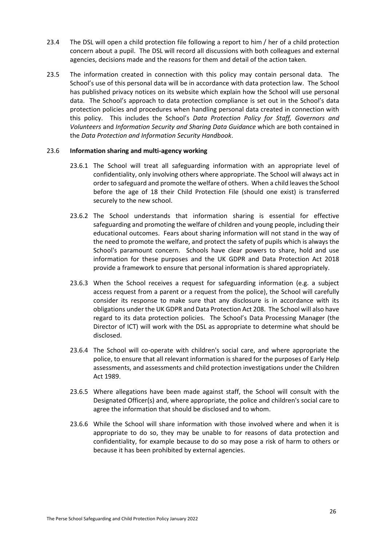- 23.4 The DSL will open a child protection file following a report to him / her of a child protection concern about a pupil. The DSL will record all discussions with both colleagues and external agencies, decisions made and the reasons for them and detail of the action taken.
- 23.5 The information created in connection with this policy may contain personal data. The School's use of this personal data will be in accordance with data protection law. The School has published privacy notices on its website which explain how the School will use personal data. The School's approach to data protection compliance is set out in the School's data protection policies and procedures when handling personal data created in connection with this policy. This includes the School's *Data Protection Policy for Staff, Governors and Volunteers* and *Information Security and Sharing Data Guidance* which are both contained in the *Data Protection and Information Security Handbook*.

## 23.6 **Information sharing and multi-agency working**

- 23.6.1 The School will treat all safeguarding information with an appropriate level of confidentiality, only involving others where appropriate. The School will always act in order to safeguard and promote the welfare of others. When a child leaves the School before the age of 18 their Child Protection File (should one exist) is transferred securely to the new school.
- 23.6.2 The School understands that information sharing is essential for effective safeguarding and promoting the welfare of children and young people, including their educational outcomes. Fears about sharing information will not stand in the way of the need to promote the welfare, and protect the safety of pupils which is always the School's paramount concern. Schools have clear powers to share, hold and use information for these purposes and the UK GDPR and Data Protection Act 2018 provide a framework to ensure that personal information is shared appropriately.
- 23.6.3 When the School receives a request for safeguarding information (e.g. a subject access request from a parent or a request from the police), the School will carefully consider its response to make sure that any disclosure is in accordance with its obligations under the UK GDPR and Data Protection Act 208. The School will also have regard to its data protection policies. The School's Data Processing Manager (the Director of ICT) will work with the DSL as appropriate to determine what should be disclosed.
- 23.6.4 The School will co-operate with children's social care, and where appropriate the police, to ensure that all relevant information is shared for the purposes of Early Help assessments, and assessments and child protection investigations under the Children Act 1989.
- 23.6.5 Where allegations have been made against staff, the School will consult with the Designated Officer(s) and, where appropriate, the police and children's social care to agree the information that should be disclosed and to whom.
- <span id="page-27-0"></span>23.6.6 While the School will share information with those involved where and when it is appropriate to do so, they may be unable to for reasons of data protection and confidentiality, for example because to do so may pose a risk of harm to others or because it has been prohibited by external agencies.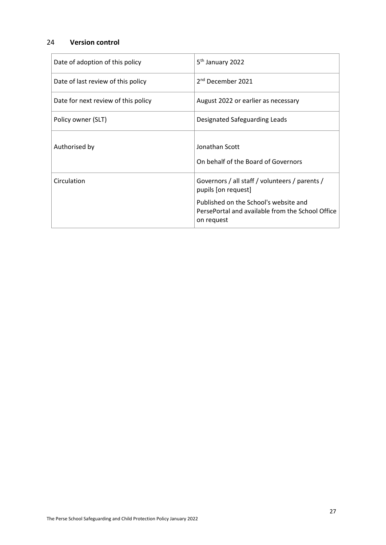# 24 **Version control**

| Date of adoption of this policy     | 5 <sup>th</sup> January 2022                                                                            |
|-------------------------------------|---------------------------------------------------------------------------------------------------------|
| Date of last review of this policy  | 2 <sup>nd</sup> December 2021                                                                           |
| Date for next review of this policy | August 2022 or earlier as necessary                                                                     |
| Policy owner (SLT)                  | Designated Safeguarding Leads                                                                           |
| Authorised by                       | Jonathan Scott<br>On behalf of the Board of Governors                                                   |
| Circulation                         | Governors / all staff / volunteers / parents /<br>pupils [on request]                                   |
|                                     | Published on the School's website and<br>PersePortal and available from the School Office<br>on request |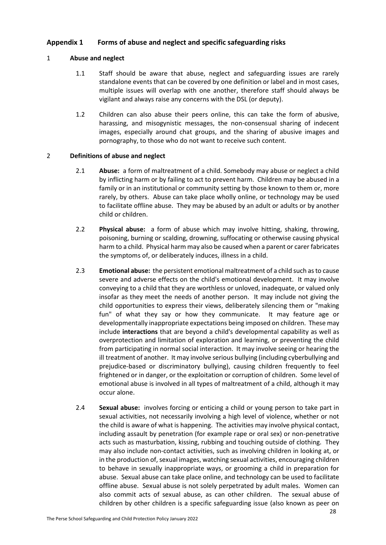# <span id="page-29-0"></span>**Appendix 1 Forms of abuse and neglect and specific safeguarding risks**

# 1 **Abuse and neglect**

- 1.1 Staff should be aware that abuse, neglect and safeguarding issues are rarely standalone events that can be covered by one definition or label and in most cases, multiple issues will overlap with one another, therefore staff should always be vigilant and always raise any concerns with the DSL (or deputy).
- 1.2 Children can also abuse their peers online, this can take the form of abusive, harassing, and misogynistic messages, the non-consensual sharing of indecent images, especially around chat groups, and the sharing of abusive images and pornography, to those who do not want to receive such content.

# 2 **Definitions of abuse and neglect**

- 2.1 **Abuse:** a form of maltreatment of a child. Somebody may abuse or neglect a child by inflicting harm or by failing to act to prevent harm. Children may be abused in a family or in an institutional or community setting by those known to them or, more rarely, by others. Abuse can take place wholly online, or technology may be used to facilitate offline abuse. They may be abused by an adult or adults or by another child or children.
- 2.2 **Physical abuse:** a form of abuse which may involve hitting, shaking, throwing, poisoning, burning or scalding, drowning, suffocating or otherwise causing physical harm to a child. Physical harm may also be caused when a parent or carer fabricates the symptoms of, or deliberately induces, illness in a child.
- 2.3 **Emotional abuse:** the persistent emotional maltreatment of a child such as to cause severe and adverse effects on the child's emotional development. It may involve conveying to a child that they are worthless or unloved, inadequate, or valued only insofar as they meet the needs of another person. It may include not giving the child opportunities to express their views, deliberately silencing them or "making fun" of what they say or how they communicate. It may feature age or developmentally inappropriate expectations being imposed on children. These may include **interactions** that are beyond a child's developmental capability as well as overprotection and limitation of exploration and learning, or preventing the child from participating in normal social interaction. It may involve seeing or hearing the ill treatment of another. It may involve serious bullying (including cyberbullying and prejudice-based or discriminatory bullying), causing children frequently to feel frightened or in danger, or the exploitation or corruption of children. Some level of emotional abuse is involved in all types of maltreatment of a child, although it may occur alone.
- 2.4 **Sexual abuse:** involves forcing or enticing a child or young person to take part in sexual activities, not necessarily involving a high level of violence, whether or not the child is aware of what is happening. The activities may involve physical contact, including assault by penetration (for example rape or oral sex) or non-penetrative acts such as masturbation, kissing, rubbing and touching outside of clothing. They may also include non-contact activities, such as involving children in looking at, or in the production of, sexual images, watching sexual activities, encouraging children to behave in sexually inappropriate ways, or grooming a child in preparation for abuse. Sexual abuse can take place online, and technology can be used to facilitate offline abuse. Sexual abuse is not solely perpetrated by adult males. Women can also commit acts of sexual abuse, as can other children. The sexual abuse of children by other children is a specific safeguarding issue (also known as peer on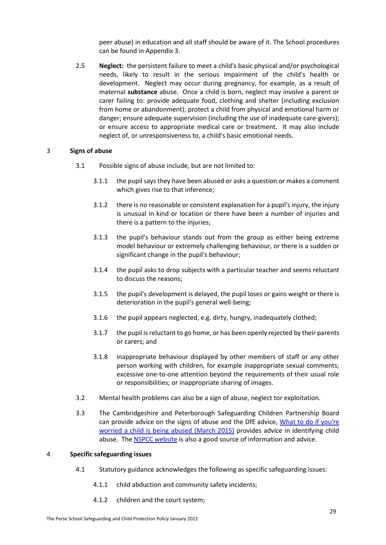peer abuse) in education and all staff should be aware of it. The School procedures can be found in [Appendix 3.](#page-45-0)

2.5 **Neglect:** the persistent failure to meet a child's basic physical and/or psychological needs, likely to result in the serious impairment of the child's health or development. Neglect may occur during pregnancy, for example, as a result of maternal **substance** abuse. Once a child is born, neglect may involve a parent or carer failing to: provide adequate food, clothing and shelter (including exclusion from home or abandonment); protect a child from physical and emotional harm or danger; ensure adequate supervision (including the use of inadequate care-givers); or ensure access to appropriate medical care or treatment. It may also include neglect of, or unresponsiveness to, a child's basic emotional needs.

## 3 **Signs of abuse**

- 3.1 Possible signs of abuse include, but are not limited to:
	- 3.1.1 the pupil says they have been abused or asks a question or makes a comment which gives rise to that inference;
	- 3.1.2 there is no reasonable or consistent explanation for a pupil's injury, the injury is unusual in kind or location or there have been a number of injuries and there is a pattern to the injuries;
	- 3.1.3 the pupil's behaviour stands out from the group as either being extreme model behaviour or extremely challenging behaviour, or there is a sudden or significant change in the pupil's behaviour;
	- 3.1.4 the pupil asks to drop subjects with a particular teacher and seems reluctant to discuss the reasons;
	- 3.1.5 the pupil's development is delayed, the pupil loses or gains weight or there is deterioration in the pupil's general well-being;
	- 3.1.6 the pupil appears neglected, e.g. dirty, hungry, inadequately clothed;
	- 3.1.7 the pupil is reluctant to go home, or has been openly rejected by their parents or carers; and
	- 3.1.8 inappropriate behaviour displayed by other members of staff or any other person working with children, for example inappropriate sexual comments; excessive one-to-one attention beyond the requirements of their usual role or responsibilities; or inappropriate sharing of images.
- 3.2 Mental health problems can also be a sign of abuse, neglect tor exploitation.
- 3.3 The Cambridgeshire and Peterborough Safeguarding Children Partnership Board can provide advice on the signs of abuse and the DfE advice, [What to do if you're](https://www.gov.uk/government/publications/what-to-do-if-youre-worried-a-child-is-being-abused--2)  [worried a child is being abused \(March](https://www.gov.uk/government/publications/what-to-do-if-youre-worried-a-child-is-being-abused--2) 2015) provides advice in identifying child abuse. Th[e NSPCC website](https://www.nspcc.org.uk/) is also a good source of information and advice.

#### 4 **Specific safeguarding issues**

- 4.1 Statutory guidance acknowledges the following as specific safeguarding issues:
	- 4.1.1 child abduction and community safety incidents;
	- 4.1.2 children and the court system;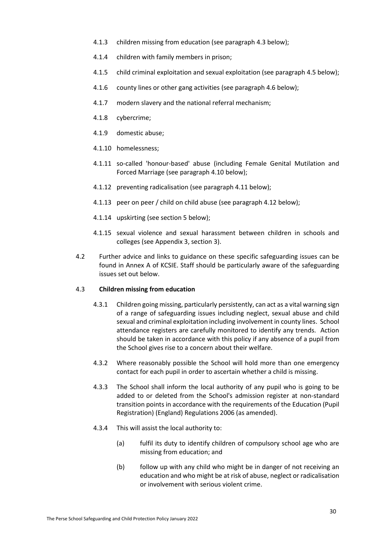- 4.1.3 children missing from education (see paragraph [4.3](#page-31-0) below);
- 4.1.4 children with family members in prison;
- 4.1.5 child criminal exploitation and sexual exploitation (see paragraph [4.5](#page-32-0) below);
- 4.1.6 county lines or other gang activities (see paragraph [4.6](#page-33-0) below);
- 4.1.7 modern slavery and the national referral mechanism;
- 4.1.8 cybercrime;
- 4.1.9 domestic abuse;
- 4.1.10 homelessness;
- 4.1.11 so-called 'honour-based' abuse (including Female Genital Mutilation and Forced Marriage (see paragraph [4.10](#page-35-0) below);
- 4.1.12 preventing radicalisation (see paragraph [4.11](#page-36-0) below);
- 4.1.13 peer on peer / child on child abuse (see paragraph [4.12](#page-37-0) below);
- 4.1.14 upskirting (see sectio[n 5](#page-40-0) below);
- 4.1.15 sexual violence and sexual harassment between children in schools and colleges (se[e Appendix 3,](#page-45-0) sectio[n 3\)](#page-46-0).
- 4.2 Further advice and links to guidance on these specific safeguarding issues can be found in Annex A of KCSIE. Staff should be particularly aware of the safeguarding issues set out below.

## <span id="page-31-0"></span>4.3 **Children missing from education**

- 4.3.1 Children going missing, particularly persistently, can act as a vital warning sign of a range of safeguarding issues including neglect, sexual abuse and child sexual and criminal exploitation including involvement in county lines. School attendance registers are carefully monitored to identify any trends. Action should be taken in accordance with this policy if any absence of a pupil from the School gives rise to a concern about their welfare.
- 4.3.2 Where reasonably possible the School will hold more than one emergency contact for each pupil in order to ascertain whether a child is missing.
- 4.3.3 The School shall inform the local authority of any pupil who is going to be added to or deleted from the School's admission register at non-standard transition points in accordance with the requirements of the Education (Pupil Registration) (England) Regulations 2006 (as amended).
- 4.3.4 This will assist the local authority to:
	- (a) fulfil its duty to identify children of compulsory school age who are missing from education; and
	- (b) follow up with any child who might be in danger of not receiving an education and who might be at risk of abuse, neglect or radicalisation or involvement with serious violent crime.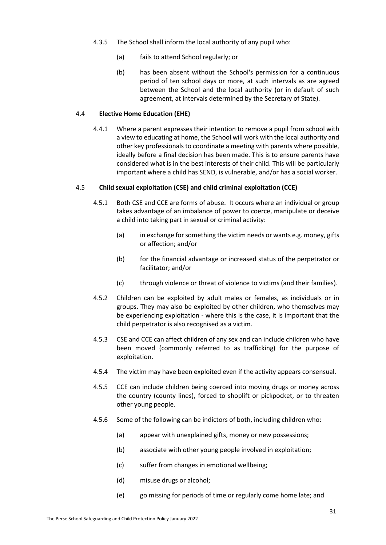- 4.3.5 The School shall inform the local authority of any pupil who:
	- (a) fails to attend School regularly; or
	- (b) has been absent without the School's permission for a continuous period of ten school days or more, at such intervals as are agreed between the School and the local authority (or in default of such agreement, at intervals determined by the Secretary of State).

# 4.4 **Elective Home Education (EHE)**

4.4.1 Where a parent expresses their intention to remove a pupil from school with a view to educating at home, the School will work with the local authority and other key professionals to coordinate a meeting with parents where possible, ideally before a final decision has been made. This is to ensure parents have considered what is in the best interests of their child. This will be particularly important where a child has SEND, is vulnerable, and/or has a social worker.

# <span id="page-32-0"></span>4.5 **Child sexual exploitation (CSE) and child criminal exploitation (CCE)**

- 4.5.1 Both CSE and CCE are forms of abuse. It occurs where an individual or group takes advantage of an imbalance of power to coerce, manipulate or deceive a child into taking part in sexual or criminal activity:
	- (a) in exchange for something the victim needs or wants e.g. money, gifts or affection; and/or
	- (b) for the financial advantage or increased status of the perpetrator or facilitator; and/or
	- (c) through violence or threat of violence to victims (and their families).
- 4.5.2 Children can be exploited by adult males or females, as individuals or in groups. They may also be exploited by other children, who themselves may be experiencing exploitation - where this is the case, it is important that the child perpetrator is also recognised as a victim.
- 4.5.3 CSE and CCE can affect children of any sex and can include children who have been moved (commonly referred to as trafficking) for the purpose of exploitation.
- 4.5.4 The victim may have been exploited even if the activity appears consensual.
- 4.5.5 CCE can include children being coerced into moving drugs or money across the country (county lines), forced to shoplift or pickpocket, or to threaten other young people.
- 4.5.6 Some of the following can be indictors of both, including children who:
	- (a) appear with unexplained gifts, money or new possessions;
	- (b) associate with other young people involved in exploitation;
	- (c) suffer from changes in emotional wellbeing;
	- (d) misuse drugs or alcohol;
	- (e) go missing for periods of time or regularly come home late; and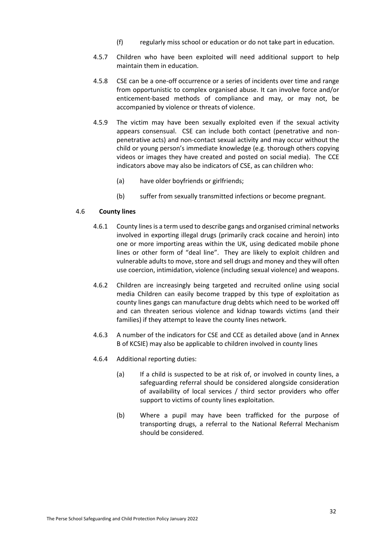- (f) regularly miss school or education or do not take part in education.
- 4.5.7 Children who have been exploited will need additional support to help maintain them in education.
- 4.5.8 CSE can be a one-off occurrence or a series of incidents over time and range from opportunistic to complex organised abuse. It can involve force and/or enticement-based methods of compliance and may, or may not, be accompanied by violence or threats of violence.
- 4.5.9 The victim may have been sexually exploited even if the sexual activity appears consensual. CSE can include both contact (penetrative and nonpenetrative acts) and non-contact sexual activity and may occur without the child or young person's immediate knowledge (e.g. thorough others copying videos or images they have created and posted on social media). The CCE indicators above may also be indicators of CSE, as can children who:
	- (a) have older boyfriends or girlfriends;
	- (b) suffer from sexually transmitted infections or become pregnant.

## <span id="page-33-0"></span>4.6 **County lines**

- 4.6.1 County lines is a term used to describe gangs and organised criminal networks involved in exporting illegal drugs (primarily crack cocaine and heroin) into one or more importing areas within the UK, using dedicated mobile phone lines or other form of "deal line". They are likely to exploit children and vulnerable adults to move, store and sell drugs and money and they will often use coercion, intimidation, violence (including sexual violence) and weapons.
- 4.6.2 Children are increasingly being targeted and recruited online using social media Children can easily become trapped by this type of exploitation as county lines gangs can manufacture drug debts which need to be worked off and can threaten serious violence and kidnap towards victims (and their families) if they attempt to leave the county lines network.
- 4.6.3 A number of the indicators for CSE and CCE as detailed above (and in Annex B of KCSIE) may also be applicable to children involved in county lines
- 4.6.4 Additional reporting duties:
	- (a) If a child is suspected to be at risk of, or involved in county lines, a safeguarding referral should be considered alongside consideration of availability of local services / third sector providers who offer support to victims of county lines exploitation.
	- (b) Where a pupil may have been trafficked for the purpose of transporting drugs, a referral to the National Referral Mechanism should be considered.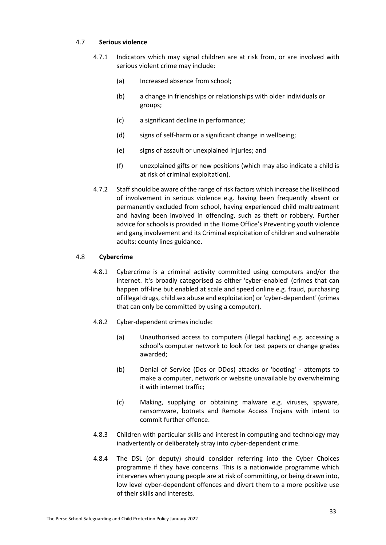## 4.7 **Serious violence**

- 4.7.1 Indicators which may signal children are at risk from, or are involved with serious violent crime may include:
	- (a) Increased absence from school;
	- (b) a change in friendships or relationships with older individuals or groups;
	- (c) a significant decline in performance;
	- (d) signs of self-harm or a significant change in wellbeing;
	- (e) signs of assault or unexplained injuries; and
	- (f) unexplained gifts or new positions (which may also indicate a child is at risk of criminal exploitation).
- 4.7.2 Staff should be aware of the range of risk factors which increase the likelihood of involvement in serious violence e.g. having been frequently absent or permanently excluded from school, having experienced child maltreatment and having been involved in offending, such as theft or robbery. Further advice for schools is provided in the Home Office's Preventing youth violence and gang involvement and its Criminal exploitation of children and vulnerable adults: county lines guidance.

# 4.8 **Cybercrime**

- 4.8.1 Cybercrime is a criminal activity committed using computers and/or the internet. It's broadly categorised as either 'cyber-enabled' (crimes that can happen off-line but enabled at scale and speed online e.g. fraud, purchasing of illegal drugs, child sex abuse and exploitation) or 'cyber-dependent' (crimes that can only be committed by using a computer).
- 4.8.2 Cyber-dependent crimes include:
	- (a) Unauthorised access to computers (illegal hacking) e.g. accessing a school's computer network to look for test papers or change grades awarded;
	- (b) Denial of Service (Dos or DDos) attacks or 'booting' attempts to make a computer, network or website unavailable by overwhelming it with internet traffic;
	- (c) Making, supplying or obtaining malware e.g. viruses, spyware, ransomware, botnets and Remote Access Trojans with intent to commit further offence.
- 4.8.3 Children with particular skills and interest in computing and technology may inadvertently or deliberately stray into cyber-dependent crime.
- 4.8.4 The DSL (or deputy) should consider referring into the Cyber Choices programme if they have concerns. This is a nationwide programme which intervenes when young people are at risk of committing, or being drawn into, low level cyber-dependent offences and divert them to a more positive use of their skills and interests.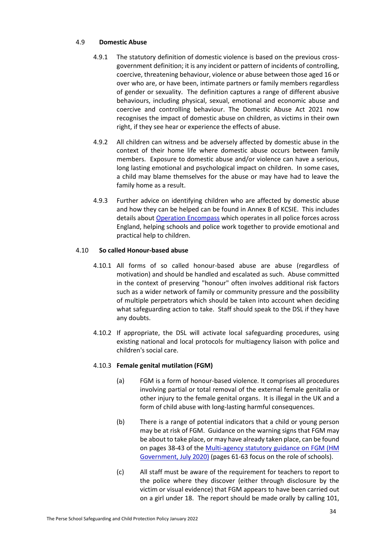## 4.9 **Domestic Abuse**

- 4.9.1 The statutory definition of domestic violence is based on the previous crossgovernment definition; it is any incident or pattern of incidents of controlling, coercive, threatening behaviour, violence or abuse between those aged 16 or over who are, or have been, intimate partners or family members regardless of gender or sexuality. The definition captures a range of different abusive behaviours, including physical, sexual, emotional and economic abuse and coercive and controlling behaviour. The Domestic Abuse Act 2021 now recognises the impact of domestic abuse on children, as victims in their own right, if they see hear or experience the effects of abuse.
- 4.9.2 All children can witness and be adversely affected by domestic abuse in the context of their home life where domestic abuse occurs between family members. Exposure to domestic abuse and/or violence can have a serious, long lasting emotional and psychological impact on children. In some cases, a child may blame themselves for the abuse or may have had to leave the family home as a result.
- 4.9.3 Further advice on identifying children who are affected by domestic abuse and how they can be helped can be found in Annex B of KCSIE. This includes details about [Operation Encompass](https://www.operationencompass.org/) which operates in all police forces across England, helping schools and police work together to provide emotional and practical help to children.

# <span id="page-35-0"></span>4.10 **So called Honour-based abuse**

- 4.10.1 All forms of so called honour-based abuse are abuse (regardless of motivation) and should be handled and escalated as such. Abuse committed in the context of preserving "honour" often involves additional risk factors such as a wider network of family or community pressure and the possibility of multiple perpetrators which should be taken into account when deciding what safeguarding action to take. Staff should speak to the DSL if they have any doubts.
- 4.10.2 If appropriate, the DSL will activate local safeguarding procedures, using existing national and local protocols for multiagency liaison with police and children's social care.

# 4.10.3 **Female genital mutilation (FGM)**

- (a) FGM is a form of honour-based violence. It comprises all procedures involving partial or total removal of the external female genitalia or other injury to the female genital organs. It is illegal in the UK and a form of child abuse with long-lasting harmful consequences.
- (b) There is a range of potential indicators that a child or young person may be at risk of FGM. Guidance on the warning signs that FGM may be about to take place, or may have already taken place, can be found on pages 38-43 of the Multi-agency statutory guidance on FGM (HM [Government,](https://www.gov.uk/government/publications/multi-agency-statutory-guidance-on-female-genital-mutilation) July 2020) (pages 61-63 focus on the role of schools).
- (c) All staff must be aware of the requirement for teachers to report to the police where they discover (either through disclosure by the victim or visual evidence) that FGM appears to have been carried out on a girl under 18. The report should be made orally by calling 101,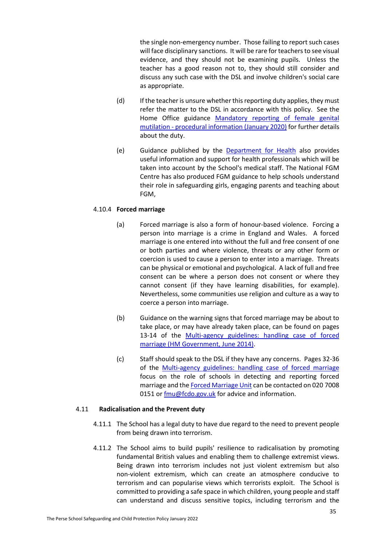the single non-emergency number. Those failing to report such cases will face disciplinary sanctions. It will be rare for teachers to see visual evidence, and they should not be examining pupils. Unless the teacher has a good reason not to, they should still consider and discuss any such case with the DSL and involve children's social care as appropriate.

- (d) If the teacher is unsure whether this reporting duty applies, they must refer the matter to the DSL in accordance with this policy. See the Home Office guidance [Mandatory reporting of female genital](https://www.gov.uk/government/publications/mandatory-reporting-of-female-genital-mutilation-procedural-information)  mutilation - [procedural information \(January 2020\)](https://www.gov.uk/government/publications/mandatory-reporting-of-female-genital-mutilation-procedural-information) for further details about the duty.
- (e) Guidance published by the [Department for Health](https://www.gov.uk/government/publications/fgm-mandatory-reporting-in-healthcare) also provides useful information and support for health professionals which will be taken into account by the School's medical staff. The National FGM Centre has also produced FGM guidance to help schools understand their role in safeguarding girls, engaging parents and teaching about FGM,

## 4.10.4 **Forced marriage**

- (a) Forced marriage is also a form of honour-based violence. Forcing a person into marriage is a crime in England and Wales. A forced marriage is one entered into without the full and free consent of one or both parties and where violence, threats or any other form or coercion is used to cause a person to enter into a marriage. Threats can be physical or emotional and psychological. A lack of full and free consent can be where a person does not consent or where they cannot consent (if they have learning disabilities, for example). Nevertheless, some communities use religion and culture as a way to coerce a person into marriage.
- (b) Guidance on the warning signs that forced marriage may be about to take place, or may have already taken place, can be found on pages 13-14 of the Multi-agency guidelines: handling case of forced [marriage \(HM Government, June 2014\).](https://www.gov.uk/government/uploads/system/uploads/attachment_data/file/322307/HMG_MULTI_AGENCY_PRACTICE_GUIDELINES_v1_180614_FINAL.pdf)
- (c) Staff should speak to the DSL if they have any concerns. Pages 32-36 of the [Multi-agency guidelines: handling case of forced marriage](https://www.gov.uk/government/uploads/system/uploads/attachment_data/file/322307/HMG_MULTI_AGENCY_PRACTICE_GUIDELINES_v1_180614_FINAL.pdf) focus on the role of schools in detecting and reporting forced marriage and th[e Forced Marriage Unit](https://www.gov.uk/stop-forced-marriage) can be contacted on 020 7008 0151 or [fmu@fcdo.gov.uk](mailto:fmu@fcdo.gov.uk) for advice and information.

#### <span id="page-36-0"></span>4.11 **Radicalisation and the Prevent duty**

- 4.11.1 The School has a legal duty to have due regard to the need to prevent people from being drawn into terrorism.
- 4.11.2 The School aims to build pupils' resilience to radicalisation by promoting fundamental British values and enabling them to challenge extremist views. Being drawn into terrorism includes not just violent extremism but also non-violent extremism, which can create an atmosphere conducive to terrorism and can popularise views which terrorists exploit. The School is committed to providing a safe space in which children, young people and staff can understand and discuss sensitive topics, including terrorism and the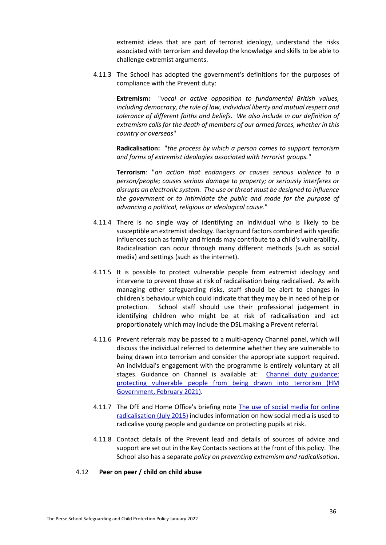extremist ideas that are part of terrorist ideology, understand the risks associated with terrorism and develop the knowledge and skills to be able to challenge extremist arguments.

4.11.3 The School has adopted the government's definitions for the purposes of compliance with the Prevent duty:

**Extremism:** "*vocal or active opposition to fundamental British values, including democracy, the rule of law, individual liberty and mutual respect and tolerance of different faiths and beliefs. We also include in our definition of extremism calls for the death of members of our armed forces, whether in this country or overseas*"

**Radicalisation:** "*the process by which a person comes to support terrorism and forms of extremist ideologies associated with terrorist groups."*

**Terrorism**: "*an action that endangers or causes serious violence to a person/people; causes serious damage to property; or seriously interferes or disrupts an electronic system. The use or threat must be designed to influence the government or to intimidate the public and made for the purpose of advancing a political, religious or ideological cause*."

- 4.11.4 There is no single way of identifying an individual who is likely to be susceptible an extremist ideology. Background factors combined with specific influences such as family and friends may contribute to a child's vulnerability. Radicalisation can occur through many different methods (such as social media) and settings (such as the internet).
- 4.11.5 It is possible to protect vulnerable people from extremist ideology and intervene to prevent those at risk of radicalisation being radicalised. As with managing other safeguarding risks, staff should be alert to changes in children's behaviour which could indicate that they may be in need of help or protection. School staff should use their professional judgement in identifying children who might be at risk of radicalisation and act proportionately which may include the DSL making a Prevent referral.
- 4.11.6 Prevent referrals may be passed to a multi-agency Channel panel, which will discuss the individual referred to determine whether they are vulnerable to being drawn into terrorism and consider the appropriate support required. An individual's engagement with the programme is entirely voluntary at all stages. Guidance on Channel is available at: [Channel duty guidance:](https://www.gov.uk/government/publications/channel-guidance)  [protecting vulnerable people from being drawn into](https://www.gov.uk/government/publications/channel-guidance) terrorism (HM [Government, February 2021\).](https://www.gov.uk/government/publications/channel-guidance)
- 4.11.7 The DfE and Home Office's briefing note The use of social media for online [radicalisation \(July 2015\)](https://www.gov.uk/government/publications/the-use-of-social-media-for-online-radicalisation) includes information on how social media is used to radicalise young people and guidance on protecting pupils at risk.
- 4.11.8 Contact details of the Prevent lead and details of sources of advice and support are set out in the Key Contacts sections at the front of this policy. The School also has a separate *policy on preventing extremism and radicalisation*.
- <span id="page-37-0"></span>4.12 **Peer on peer / child on child abuse**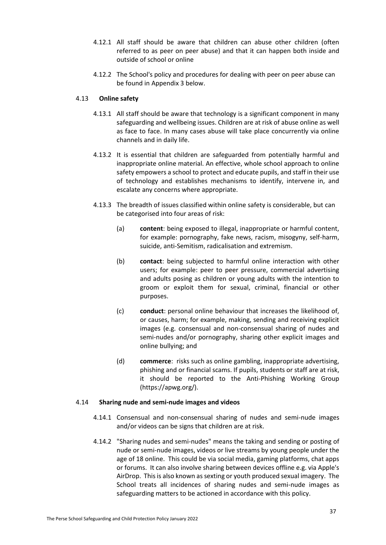- 4.12.1 All staff should be aware that children can abuse other children (often referred to as peer on peer abuse) and that it can happen both inside and outside of school or online
- 4.12.2 The School's policy and procedures for dealing with peer on peer abuse can be found i[n Appendix 3](#page-45-0) below.

# 4.13 **Online safety**

- 4.13.1 All staff should be aware that technology is a significant component in many safeguarding and wellbeing issues. Children are at risk of abuse online as well as face to face. In many cases abuse will take place concurrently via online channels and in daily life.
- 4.13.2 It is essential that children are safeguarded from potentially harmful and inappropriate online material. An effective, whole school approach to online safety empowers a school to protect and educate pupils, and staff in their use of technology and establishes mechanisms to identify, intervene in, and escalate any concerns where appropriate.
- 4.13.3 The breadth of issues classified within online safety is considerable, but can be categorised into four areas of risk:
	- (a) **content**: being exposed to illegal, inappropriate or harmful content, for example: pornography, fake news, racism, misogyny, self-harm, suicide, anti-Semitism, radicalisation and extremism.
	- (b) **contact**: being subjected to harmful online interaction with other users; for example: peer to peer pressure, commercial advertising and adults posing as children or young adults with the intention to groom or exploit them for sexual, criminal, financial or other purposes.
	- (c) **conduct**: personal online behaviour that increases the likelihood of, or causes, harm; for example, making, sending and receiving explicit images (e.g. consensual and non-consensual sharing of nudes and semi-nudes and/or pornography, sharing other explicit images and online bullying; and
	- (d) **commerce**: risks such as online gambling, inappropriate advertising, phishing and or financial scams. If pupils, students or staff are at risk, it should be reported to the Anti-Phishing Working Group (https://apwg.org/).

# 4.14 **Sharing nude and semi-nude images and videos**

- 4.14.1 Consensual and non-consensual sharing of nudes and semi-nude images and/or videos can be signs that children are at risk.
- 4.14.2 "Sharing nudes and semi-nudes" means the taking and sending or posting of nude or semi-nude images, videos or live streams by young people under the age of 18 online. This could be via social media, gaming platforms, chat apps or forums. It can also involve sharing between devices offline e.g. via Apple's AirDrop. This is also known as sexting or youth produced sexual imagery. The School treats all incidences of sharing nudes and semi-nude images as safeguarding matters to be actioned in accordance with this policy.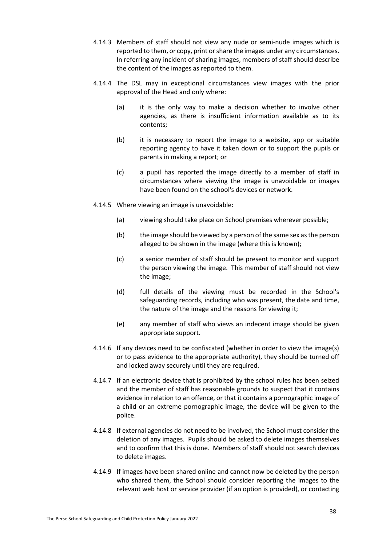- 4.14.3 Members of staff should not view any nude or semi-nude images which is reported to them, or copy, print or share the images under any circumstances. In referring any incident of sharing images, members of staff should describe the content of the images as reported to them.
- 4.14.4 The DSL may in exceptional circumstances view images with the prior approval of the Head and only where:
	- (a) it is the only way to make a decision whether to involve other agencies, as there is insufficient information available as to its contents;
	- (b) it is necessary to report the image to a website, app or suitable reporting agency to have it taken down or to support the pupils or parents in making a report; or
	- (c) a pupil has reported the image directly to a member of staff in circumstances where viewing the image is unavoidable or images have been found on the school's devices or network.
- 4.14.5 Where viewing an image is unavoidable:
	- (a) viewing should take place on School premises wherever possible;
	- (b) the image should be viewed by a person of the same sex as the person alleged to be shown in the image (where this is known);
	- (c) a senior member of staff should be present to monitor and support the person viewing the image. This member of staff should not view the image;
	- (d) full details of the viewing must be recorded in the School's safeguarding records, including who was present, the date and time, the nature of the image and the reasons for viewing it;
	- (e) any member of staff who views an indecent image should be given appropriate support.
- 4.14.6 If any devices need to be confiscated (whether in order to view the image(s) or to pass evidence to the appropriate authority), they should be turned off and locked away securely until they are required.
- 4.14.7 If an electronic device that is prohibited by the school rules has been seized and the member of staff has reasonable grounds to suspect that it contains evidence in relation to an offence, or that it contains a pornographic image of a child or an extreme pornographic image, the device will be given to the police.
- 4.14.8 If external agencies do not need to be involved, the School must consider the deletion of any images. Pupils should be asked to delete images themselves and to confirm that this is done. Members of staff should not search devices to delete images.
- 4.14.9 If images have been shared online and cannot now be deleted by the person who shared them, the School should consider reporting the images to the relevant web host or service provider (if an option is provided), or contacting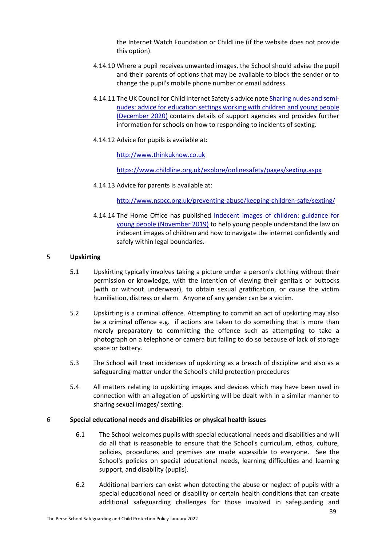the Internet Watch Foundation or ChildLine (if the website does not provide this option).

- 4.14.10 Where a pupil receives unwanted images, the School should advise the pupil and their parents of options that may be available to block the sender or to change the pupil's mobile phone number or email address.
- 4.14.11 The UK Council for Child Internet Safety's advice not[e Sharing nudes and semi](https://www.gov.uk/government/publications/sharing-nudes-and-semi-nudes-advice-for-education-settings-working-with-children-and-young-people)[nudes: advice for education settings working with children and young people](https://www.gov.uk/government/publications/sharing-nudes-and-semi-nudes-advice-for-education-settings-working-with-children-and-young-people)  [\(December 2020\)](https://www.gov.uk/government/publications/sharing-nudes-and-semi-nudes-advice-for-education-settings-working-with-children-and-young-people) contains details of support agencies and provides further information for schools on how to responding to incidents of sexting.
- 4.14.12 Advice for pupils is available at:

[http://www.thinkuknow.co.uk](http://www.thinkuknow.co.uk/)

<https://www.childline.org.uk/explore/onlinesafety/pages/sexting.aspx>

4.14.13 Advice for parents is available at:

<http://www.nspcc.org.uk/preventing-abuse/keeping-children-safe/sexting/>

4.14.14 The Home Office has published [Indecent images of children: guidance for](https://www.gov.uk/government/publications/indecent-images-of-children-guidance-for-young-people/indecent-images-of-children-guidance-for-young-people)  [young people \(November 2019\)](https://www.gov.uk/government/publications/indecent-images-of-children-guidance-for-young-people/indecent-images-of-children-guidance-for-young-people) to help young people understand the law on indecent images of children and how to navigate the internet confidently and safely within legal boundaries.

## <span id="page-40-0"></span>5 **Upskirting**

- 5.1 Upskirting typically involves taking a picture under a person's clothing without their permission or knowledge, with the intention of viewing their genitals or buttocks (with or without underwear), to obtain sexual gratification, or cause the victim humiliation, distress or alarm. Anyone of any gender can be a victim.
- 5.2 Upskirting is a criminal offence. Attempting to commit an act of upskirting may also be a criminal offence e.g. if actions are taken to do something that is more than merely preparatory to committing the offence such as attempting to take a photograph on a telephone or camera but failing to do so because of lack of storage space or battery.
- 5.3 The School will treat incidences of upskirting as a breach of discipline and also as a safeguarding matter under the School's child protection procedures
- 5.4 All matters relating to upskirting images and devices which may have been used in connection with an allegation of upskirting will be dealt with in a similar manner to sharing sexual images/ sexting.

#### 6 **Special educational needs and disabilities or physical health issues**

- 6.1 The School welcomes pupils with special educational needs and disabilities and will do all that is reasonable to ensure that the School's curriculum, ethos, culture, policies, procedures and premises are made accessible to everyone. See the School's policies on special educational needs, learning difficulties and learning support, and disability (pupils).
- 6.2 Additional barriers can exist when detecting the abuse or neglect of pupils with a special educational need or disability or certain health conditions that can create additional safeguarding challenges for those involved in safeguarding and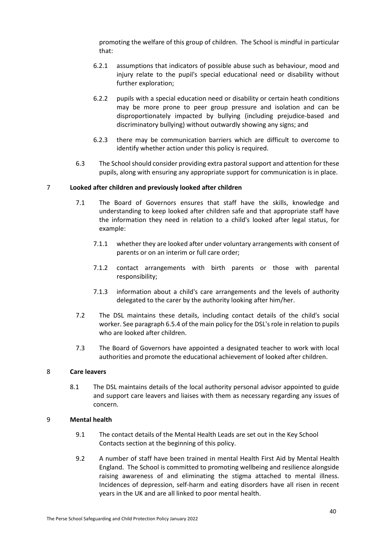promoting the welfare of this group of children. The School is mindful in particular that:

- 6.2.1 assumptions that indicators of possible abuse such as behaviour, mood and injury relate to the pupil's special educational need or disability without further exploration;
- 6.2.2 pupils with a special education need or disability or certain heath conditions may be more prone to peer group pressure and isolation and can be disproportionately impacted by bullying (including prejudice-based and discriminatory bullying) without outwardly showing any signs; and
- 6.2.3 there may be communication barriers which are difficult to overcome to identify whether action under this policy is required.
- 6.3 The School should consider providing extra pastoral support and attention for these pupils, along with ensuring any appropriate support for communication is in place.

## 7 **Looked after children and previously looked after children**

- 7.1 The Board of Governors ensures that staff have the skills, knowledge and understanding to keep looked after children safe and that appropriate staff have the information they need in relation to a child's looked after legal status, for example:
	- 7.1.1 whether they are looked after under voluntary arrangements with consent of parents or on an interim or full care order;
	- 7.1.2 contact arrangements with birth parents or those with parental responsibility;
	- 7.1.3 information about a child's care arrangements and the levels of authority delegated to the carer by the authority looking after him/her.
- 7.2 The DSL maintains these details, including contact details of the child's social worker. See paragraph [6.5.4](#page-13-2) of the main policy for the DSL's role in relation to pupils who are looked after children.
- 7.3 The Board of Governors have appointed a designated teacher to work with local authorities and promote the educational achievement of looked after children.

#### 8 **Care leavers**

8.1 The DSL maintains details of the local authority personal advisor appointed to guide and support care leavers and liaises with them as necessary regarding any issues of concern.

#### 9 **Mental health**

- 9.1 The contact details of the Mental Health Leads are set out in the Key School Contacts section at the beginning of this policy.
- 9.2 A number of staff have been trained in mental Health First Aid by Mental Health England. The School is committed to promoting wellbeing and resilience alongside raising awareness of and eliminating the stigma attached to mental illness. Incidences of depression, self-harm and eating disorders have all risen in recent years in the UK and are all linked to poor mental health.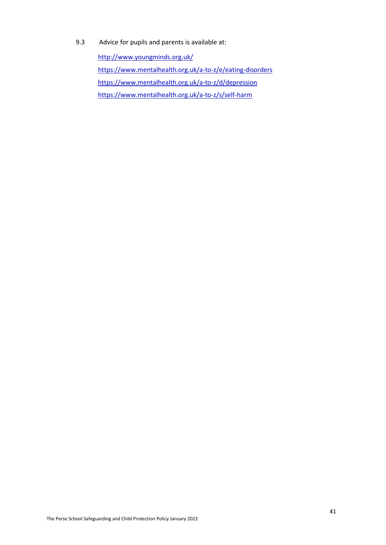9.3 Advice for pupils and parents is available at:

<http://www.youngminds.org.uk/> <https://www.mentalhealth.org.uk/a-to-z/e/eating-disorders> <https://www.mentalhealth.org.uk/a-to-z/d/depression> <https://www.mentalhealth.org.uk/a-to-z/s/self-harm>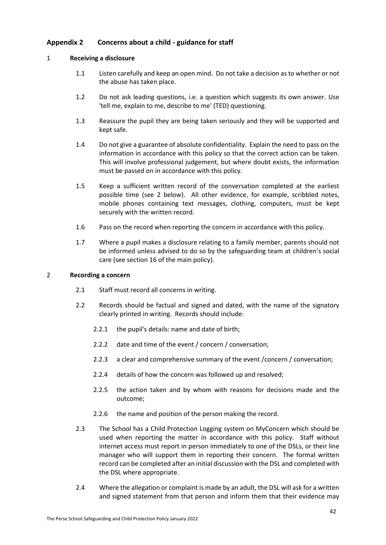# <span id="page-43-0"></span>**Appendix 2 Concerns about a child - guidance for staff**

## 1 **Receiving a disclosure**

- 1.1 Listen carefully and keep an open mind. Do not take a decision as to whether or not the abuse has taken place.
- 1.2 Do not ask leading questions, i.e. a question which suggests its own answer. Use 'tell me, explain to me, describe to me' (TED) questioning.
- 1.3 Reassure the pupil they are being taken seriously and they will be supported and kept safe.
- 1.4 Do not give a guarantee of absolute confidentiality. Explain the need to pass on the information in accordance with this policy so that the correct action can be taken. This will involve professional judgement, but where doubt exists, the information must be passed on in accordance with this policy.
- 1.5 Keep a sufficient written record of the conversation completed at the earliest possible time (see [2](#page-43-1) below). All other evidence, for example, scribbled notes, mobile phones containing text messages, clothing, computers, must be kept securely with the written record.
- 1.6 Pass on the record when reporting the concern in accordance with this policy.
- 1.7 Where a pupil makes a disclosure relating to a family member, parents should not be informed unless advised to do so by the safeguarding team at children's social care (see section [16](#page-20-2) of the main policy).

## <span id="page-43-1"></span>2 **Recording a concern**

- 2.1 Staff must record all concerns in writing.
- 2.2 Records should be factual and signed and dated, with the name of the signatory clearly printed in writing. Records should include:
	- 2.2.1 the pupil's details: name and date of birth;
	- 2.2.2 date and time of the event / concern / conversation;
	- 2.2.3 a clear and comprehensive summary of the event /concern / conversation;
	- 2.2.4 details of how the concern was followed up and resolved;
	- 2.2.5 the action taken and by whom with reasons for decisions made and the outcome;
	- 2.2.6 the name and position of the person making the record.
- 2.3 The School has a Child Protection Logging system on MyConcern which should be used when reporting the matter in accordance with this policy. Staff without internet access must report in person immediately to one of the DSLs, or their line manager who will support them in reporting their concern. The formal written record can be completed after an initial discussion with the DSL and completed with the DSL where appropriate.
- 2.4 Where the allegation or complaint is made by an adult, the DSL will ask for a written and signed statement from that person and inform them that their evidence may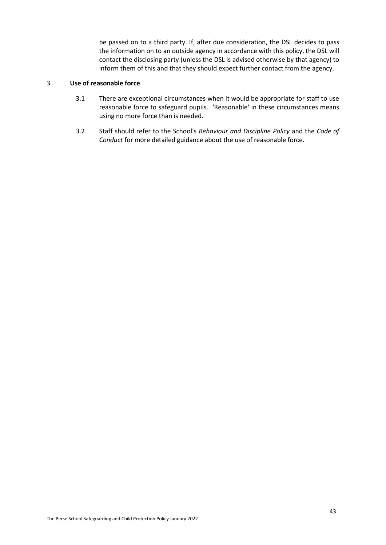be passed on to a third party. If, after due consideration, the DSL decides to pass the information on to an outside agency in accordance with this policy, the DSL will contact the disclosing party (unless the DSL is advised otherwise by that agency) to inform them of this and that they should expect further contact from the agency.

# 3 **Use of reasonable force**

- 3.1 There are exceptional circumstances when it would be appropriate for staff to use reasonable force to safeguard pupils. 'Reasonable' in these circumstances means using no more force than is needed.
- 3.2 Staff should refer to the School's *Behaviour and Discipline Policy* and the *Code of Conduct* for more detailed guidance about the use of reasonable force.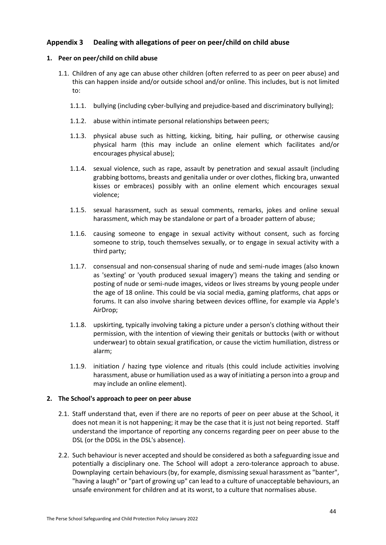# <span id="page-45-0"></span>**Appendix 3 Dealing with allegations of peer on peer/child on child abuse**

# **1. Peer on peer/child on child abuse**

- 1.1. Children of any age can abuse other children (often referred to as peer on peer abuse) and this can happen inside and/or outside school and/or online. This includes, but is not limited to:
	- 1.1.1. bullying (including cyber-bullying and prejudice-based and discriminatory bullying);
	- 1.1.2. abuse within intimate personal relationships between peers;
	- 1.1.3. physical abuse such as hitting, kicking, biting, hair pulling, or otherwise causing physical harm (this may include an online element which facilitates and/or encourages physical abuse);
	- 1.1.4. sexual violence, such as rape, assault by penetration and sexual assault (including grabbing bottoms, breasts and genitalia under or over clothes, flicking bra, unwanted kisses or embraces) possibly with an online element which encourages sexual violence;
	- 1.1.5. sexual harassment, such as sexual comments, remarks, jokes and online sexual harassment, which may be standalone or part of a broader pattern of abuse;
	- 1.1.6. causing someone to engage in sexual activity without consent, such as forcing someone to strip, touch themselves sexually, or to engage in sexual activity with a third party;
	- 1.1.7. consensual and non-consensual sharing of nude and semi-nude images (also known as 'sexting' or 'youth produced sexual imagery') means the taking and sending or posting of nude or semi-nude images, videos or lives streams by young people under the age of 18 online. This could be via social media, gaming platforms, chat apps or forums. It can also involve sharing between devices offline, for example via Apple's AirDrop;
	- 1.1.8. upskirting, typically involving taking a picture under a person's clothing without their permission, with the intention of viewing their genitals or buttocks (with or without underwear) to obtain sexual gratification, or cause the victim humiliation, distress or alarm;
	- 1.1.9. initiation / hazing type violence and rituals (this could include activities involving harassment, abuse or humiliation used as a way of initiating a person into a group and may include an online element).

# **2. The School's approach to peer on peer abuse**

- 2.1. Staff understand that, even if there are no reports of peer on peer abuse at the School, it does not mean it is not happening; it may be the case that it is just not being reported. Staff understand the importance of reporting any concerns regarding peer on peer abuse to the DSL (or the DDSL in the DSL's absence).
- 2.2. Such behaviour is never accepted and should be considered as both a safeguarding issue and potentially a disciplinary one. The School will adopt a zero-tolerance approach to abuse. Downplaying certain behaviours (by, for example, dismissing sexual harassment as "banter", "having a laugh" or "part of growing up" can lead to a culture of unacceptable behaviours, an unsafe environment for children and at its worst, to a culture that normalises abuse.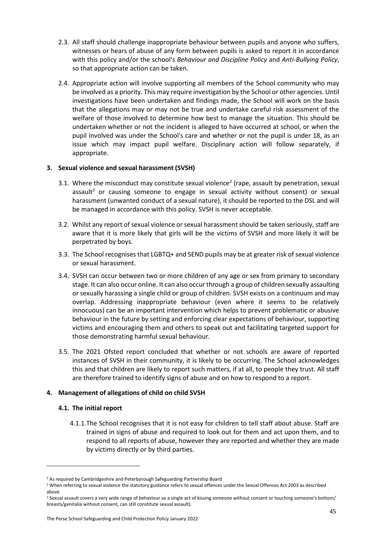- 2.3. All staff should challenge inappropriate behaviour between pupils and anyone who suffers, witnesses or hears of abuse of any form between pupils is asked to report it in accordance with this policy and/or the school's *Behaviour and Discipline Policy* and *Anti-Bullying Policy*, so that appropriate action can be taken.
- 2.4. Appropriate action will involve supporting all members of the School community who may be involved as a priority. This may require investigation by the School or other agencies. Until investigations have been undertaken and findings made, the School will work on the basis that the allegations may or may not be true and undertake careful risk assessment of the welfare of those involved to determine how best to manage the situation. This should be undertaken whether or not the incident is alleged to have occurred at school, or when the pupil involved was under the School's care and whether or not the pupil is under 18, as an issue which may impact pupil welfare. Disciplinary action will follow separately, if appropriate.

# <span id="page-46-0"></span>**3. Sexual violence and sexual harassment (SVSH)**

- 3.1. Where the misconduct may constitute sexual violence<sup>2</sup> (rape, assault by penetration, sexual assault $3$  or causing someone to engage in sexual activity without consent) or sexual harassment (unwanted conduct of a sexual nature), it should be reported to the DSL and will be managed in accordance with this policy. SVSH is never acceptable.
- 3.2. Whilst any report of sexual violence or sexual harassment should be taken seriously, staff are aware that it is more likely that girls will be the victims of SVSH and more likely it will be perpetrated by boys.
- 3.3. The School recognises that LGBTQ+ and SEND pupils may be at greater risk of sexual violence or sexual harassment.
- 3.4. SVSH can occur between two or more children of any age or sex from primary to secondary stage. It can also occur online. It can also occur through a group of children sexually assaulting or sexually harassing a single child or group of children. SVSH exists on a continuum and may overlap. Addressing inappropriate behaviour (even where it seems to be relatively innocuous) can be an important intervention which helps to prevent problematic or abusive behaviour in the future by setting and enforcing clear expectations of behaviour, supporting victims and encouraging them and others to speak out and facilitating targeted support for those demonstrating harmful sexual behaviour.
- 3.5. The 2021 Ofsted report concluded that whether or not schools are aware of reported instances of SVSH in their community, it is likely to be occurring. The School acknowledges this and that children are likely to report such matters, if at all, to people they trust. All staff are therefore trained to identify signs of abuse and on how to respond to a report.

# **4. Management of allegations of child on child SVSH**

# **4.1. The initial report**

1

4.1.1.The School recognises that it is not easy for children to tell staff about abuse. Staff are trained in signs of abuse and required to look out for them and act upon them, and to respond to all reports of abuse, however they are reported and whether they are made by victims directly or by third parties.

<sup>&</sup>lt;sup>2</sup> As required by Cambridgeshire and Peterborough Safeguarding Partnership Board

<sup>&</sup>lt;sup>2</sup> When referring to sexual violence the statutory guidance refers to sexual offences under the Sexual Offences Act 2003 as described above

<sup>&</sup>lt;sup>3</sup> Sexual assault covers a very wide range of behaviour so a single act of kissing someone without consent or touching someone's bottom/ breasts/genitalia without consent, can still constitute sexual assault).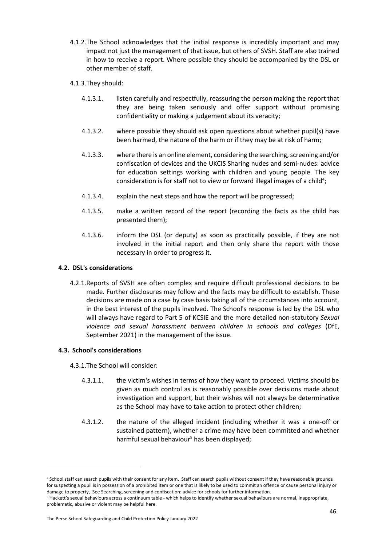- 4.1.2.The School acknowledges that the initial response is incredibly important and may impact not just the management of that issue, but others of SVSH. Staff are also trained in how to receive a report. Where possible they should be accompanied by the DSL or other member of staff.
- 4.1.3.They should:
	- 4.1.3.1. listen carefully and respectfully, reassuring the person making the report that they are being taken seriously and offer support without promising confidentiality or making a judgement about its veracity;
	- 4.1.3.2. where possible they should ask open questions about whether pupil(s) have been harmed, the nature of the harm or if they may be at risk of harm;
	- 4.1.3.3. where there is an online element, considering the searching, screening and/or confiscation of devices and the UKCIS Sharing nudes and semi-nudes: advice for education settings working with children and young people. The key consideration is for staff not to view or forward illegal images of a child<sup>4</sup>;
	- 4.1.3.4. explain the next steps and how the report will be progressed;
	- 4.1.3.5. make a written record of the report (recording the facts as the child has presented them);
	- 4.1.3.6. inform the DSL (or deputy) as soon as practically possible, if they are not involved in the initial report and then only share the report with those necessary in order to progress it.

# **4.2. DSL's considerations**

4.2.1.Reports of SVSH are often complex and require difficult professional decisions to be made. Further disclosures may follow and the facts may be difficult to establish. These decisions are made on a case by case basis taking all of the circumstances into account, in the best interest of the pupils involved. The School's response is led by the DSL who will always have regard to Part 5 of KCSIE and the more detailed non-statutory *Sexual violence and sexual harassment between children in schools and colleges* (DfE, September 2021) in the management of the issue.

# **4.3. School's considerations**

1

- 4.3.1.The School will consider:
	- 4.3.1.1. the victim's wishes in terms of how they want to proceed. Victims should be given as much control as is reasonably possible over decisions made about investigation and support, but their wishes will not always be determinative as the School may have to take action to protect other children;
	- 4.3.1.2. the nature of the alleged incident (including whether it was a one-off or sustained pattern), whether a crime may have been committed and whether harmful sexual behaviour<sup>5</sup> has been displayed;

<sup>&</sup>lt;sup>4</sup> School staff can search pupils with their consent for any item. Staff can search pupils without consent if they have reasonable grounds for suspecting a pupil is in possession of a prohibited item or one that is likely to be used to commit an offence or cause personal injury or damage to property, See Searching, screening and confiscation: advice for schools for further information.

<sup>&</sup>lt;sup>5</sup> Hackett's sexual behaviours across a continuum table - which helps to identify whether sexual behaviours are normal, inappropriate, problematic, abusive or violent may be helpful here.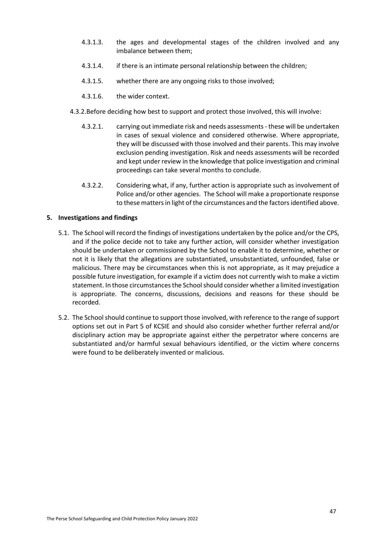- 4.3.1.3. the ages and developmental stages of the children involved and any imbalance between them;
- 4.3.1.4. if there is an intimate personal relationship between the children;
- 4.3.1.5. whether there are any ongoing risks to those involved;
- 4.3.1.6. the wider context.
- 4.3.2.Before deciding how best to support and protect those involved, this will involve:
	- 4.3.2.1. carrying out immediate risk and needs assessments these will be undertaken in cases of sexual violence and considered otherwise. Where appropriate, they will be discussed with those involved and their parents. This may involve exclusion pending investigation. Risk and needs assessments will be recorded and kept under review in the knowledge that police investigation and criminal proceedings can take several months to conclude.
	- 4.3.2.2. Considering what, if any, further action is appropriate such as involvement of Police and/or other agencies. The School will make a proportionate response to these matters in light of the circumstances and the factors identified above.

## **5. Investigations and findings**

- 5.1. The School will record the findings of investigations undertaken by the police and/or the CPS, and if the police decide not to take any further action, will consider whether investigation should be undertaken or commissioned by the School to enable it to determine, whether or not it is likely that the allegations are substantiated, unsubstantiated, unfounded, false or malicious. There may be circumstances when this is not appropriate, as it may prejudice a possible future investigation, for example if a victim does not currently wish to make a victim statement. In those circumstances the School should consider whether a limited investigation is appropriate. The concerns, discussions, decisions and reasons for these should be recorded.
- 5.2. The School should continue to support those involved, with reference to the range of support options set out in Part 5 of KCSIE and should also consider whether further referral and/or disciplinary action may be appropriate against either the perpetrator where concerns are substantiated and/or harmful sexual behaviours identified, or the victim where concerns were found to be deliberately invented or malicious.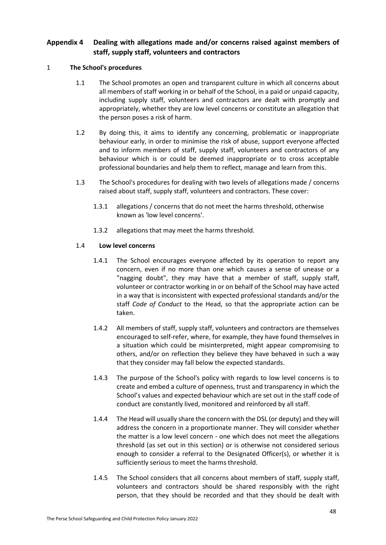# <span id="page-49-0"></span>**Appendix 4 Dealing with allegations made and/or concerns raised against members of staff, supply staff, volunteers and contractors**

# 1 **The School's procedures**

- 1.1 The School promotes an open and transparent culture in which all concerns about all members of staff working in or behalf of the School, in a paid or unpaid capacity, including supply staff, volunteers and contractors are dealt with promptly and appropriately, whether they are low level concerns or constitute an allegation that the person poses a risk of harm.
- 1.2 By doing this, it aims to identify any concerning, problematic or inappropriate behaviour early, in order to minimise the risk of abuse, support everyone affected and to inform members of staff, supply staff, volunteers and contractors of any behaviour which is or could be deemed inappropriate or to cross acceptable professional boundaries and help them to reflect, manage and learn from this.
- 1.3 The School's procedures for dealing with two levels of allegations made / concerns raised about staff, supply staff, volunteers and contractors. These cover:
	- 1.3.1 allegations / concerns that do not meet the harms threshold, otherwise known as 'low level concerns'.
	- 1.3.2 allegations that may meet the harms threshold.

# 1.4 **Low level concerns**

- 1.4.1 The School encourages everyone affected by its operation to report any concern, even if no more than one which causes a sense of unease or a "nagging doubt", they may have that a member of staff, supply staff, volunteer or contractor working in or on behalf of the School may have acted in a way that is inconsistent with expected professional standards and/or the staff *Code of Conduct* to the Head, so that the appropriate action can be taken.
- 1.4.2 All members of staff, supply staff, volunteers and contractors are themselves encouraged to self-refer, where, for example, they have found themselves in a situation which could be misinterpreted, might appear compromising to others, and/or on reflection they believe they have behaved in such a way that they consider may fall below the expected standards.
- 1.4.3 The purpose of the School's policy with regards to low level concerns is to create and embed a culture of openness, trust and transparency in which the School's values and expected behaviour which are set out in the staff code of conduct are constantly lived, monitored and reinforced by all staff.
- 1.4.4 The Head will usually share the concern with the DSL (or deputy) and they will address the concern in a proportionate manner. They will consider whether the matter is a low level concern - one which does not meet the allegations threshold (as set out in this section) or is otherwise not considered serious enough to consider a referral to the Designated Officer(s), or whether it is sufficiently serious to meet the harms threshold.
- 1.4.5 The School considers that all concerns about members of staff, supply staff, volunteers and contractors should be shared responsibly with the right person, that they should be recorded and that they should be dealt with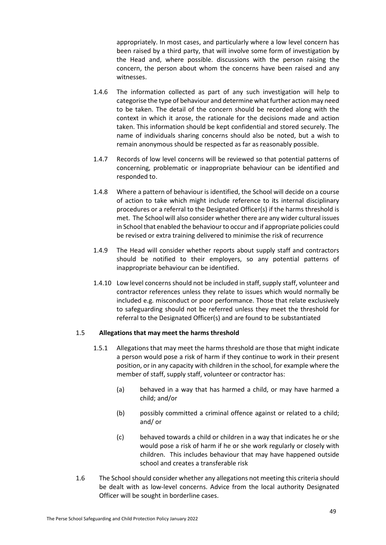appropriately. In most cases, and particularly where a low level concern has been raised by a third party, that will involve some form of investigation by the Head and, where possible. discussions with the person raising the concern, the person about whom the concerns have been raised and any witnesses.

- 1.4.6 The information collected as part of any such investigation will help to categorise the type of behaviour and determine what further action may need to be taken. The detail of the concern should be recorded along with the context in which it arose, the rationale for the decisions made and action taken. This information should be kept confidential and stored securely. The name of individuals sharing concerns should also be noted, but a wish to remain anonymous should be respected as far as reasonably possible.
- 1.4.7 Records of low level concerns will be reviewed so that potential patterns of concerning, problematic or inappropriate behaviour can be identified and responded to.
- 1.4.8 Where a pattern of behaviour is identified, the School will decide on a course of action to take which might include reference to its internal disciplinary procedures or a referral to the Designated Officer(s) if the harms threshold is met. The School will also consider whether there are any wider cultural issues in School that enabled the behaviour to occur and if appropriate policies could be revised or extra training delivered to minimise the risk of recurrence
- 1.4.9 The Head will consider whether reports about supply staff and contractors should be notified to their employers, so any potential patterns of inappropriate behaviour can be identified.
- 1.4.10 Low level concerns should not be included in staff, supply staff, volunteer and contractor references unless they relate to issues which would normally be included e.g. misconduct or poor performance. Those that relate exclusively to safeguarding should not be referred unless they meet the threshold for referral to the Designated Officer(s) and are found to be substantiated

# <span id="page-50-0"></span>1.5 **Allegations that may meet the harms threshold**

- 1.5.1 Allegations that may meet the harms threshold are those that might indicate a person would pose a risk of harm if they continue to work in their present position, or in any capacity with children in the school, for example where the member of staff, supply staff, volunteer or contractor has:
	- (a) behaved in a way that has harmed a child, or may have harmed a child; and/or
	- (b) possibly committed a criminal offence against or related to a child; and/ or
	- (c) behaved towards a child or children in a way that indicates he or she would pose a risk of harm if he or she work regularly or closely with children. This includes behaviour that may have happened outside school and creates a transferable risk
- 1.6 The School should consider whether any allegations not meeting this criteria should be dealt with as low-level concerns. Advice from the local authority Designated Officer will be sought in borderline cases.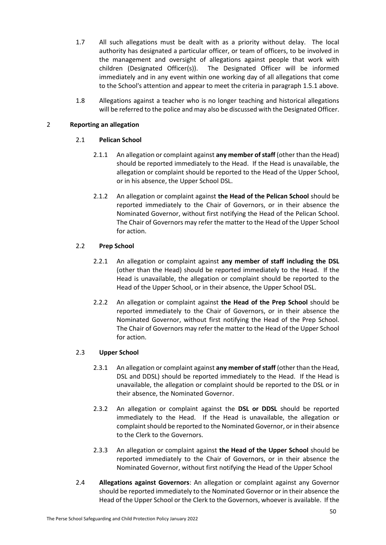- 1.7 All such allegations must be dealt with as a priority without delay. The local authority has designated a particular officer, or team of officers, to be involved in the management and oversight of allegations against people that work with children (Designated Officer(s)). The Designated Officer will be informed immediately and in any event within one working day of all allegations that come to the School's attention and appear to meet the criteria in paragrap[h 1.5.1](#page-50-0) above.
- 1.8 Allegations against a teacher who is no longer teaching and historical allegations will be referred to the police and may also be discussed with the Designated Officer.

# 2 **Reporting an allegation**

# 2.1 **Pelican School**

- 2.1.1 An allegation or complaint against **any member of staff** (other than the Head) should be reported immediately to the Head. If the Head is unavailable, the allegation or complaint should be reported to the Head of the Upper School, or in his absence, the Upper School DSL.
- 2.1.2 An allegation or complaint against **the Head of the Pelican School** should be reported immediately to the Chair of Governors, or in their absence the Nominated Governor, without first notifying the Head of the Pelican School. The Chair of Governors may refer the matter to the Head of the Upper School for action.

# 2.2 **Prep School**

- 2.2.1 An allegation or complaint against **any member of staff including the DSL** (other than the Head) should be reported immediately to the Head. If the Head is unavailable, the allegation or complaint should be reported to the Head of the Upper School, or in their absence, the Upper School DSL.
- 2.2.2 An allegation or complaint against **the Head of the Prep School** should be reported immediately to the Chair of Governors, or in their absence the Nominated Governor, without first notifying the Head of the Prep School. The Chair of Governors may refer the matter to the Head of the Upper School for action.

# 2.3 **Upper School**

- 2.3.1 An allegation or complaint against **any member of staff** (other than the Head, DSL and DDSL) should be reported immediately to the Head. If the Head is unavailable, the allegation or complaint should be reported to the DSL or in their absence, the Nominated Governor.
- 2.3.2 An allegation or complaint against the **DSL or DDSL** should be reported immediately to the Head. If the Head is unavailable, the allegation or complaint should be reported to the Nominated Governor, or in their absence to the Clerk to the Governors.
- 2.3.3 An allegation or complaint against **the Head of the Upper School** should be reported immediately to the Chair of Governors, or in their absence the Nominated Governor, without first notifying the Head of the Upper School
- 2.4 **Allegations against Governors**: An allegation or complaint against any Governor should be reported immediately to the Nominated Governor or in their absence the Head of the Upper School or the Clerk to the Governors, whoever is available. If the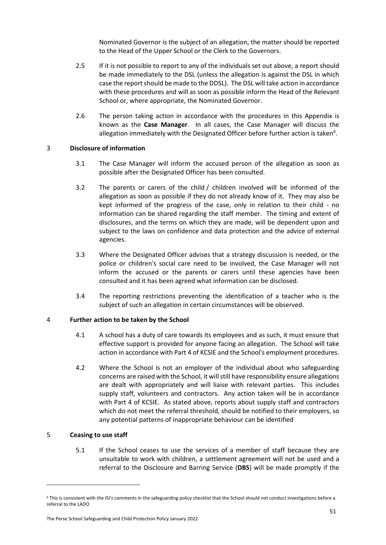Nominated Governor is the subject of an allegation, the matter should be reported to the Head of the Upper School or the Clerk to the Governors.

- 2.5 If it is not possible to report to any of the individuals set out above, a report should be made immediately to the DSL (unless the allegation is against the DSL in which case the report should be made to the DDSL). The DSL will take action in accordance with these procedures and will as soon as possible inform the Head of the Relevant School or, where appropriate, the Nominated Governor.
- 2.6 The person taking action in accordance with the procedures in this Appendix is known as the **Case Manager**. In all cases, the Case Manager will discuss the allegation immediately with the Designated Officer before further action is taken $^6$ .

# 3 **Disclosure of information**

- 3.1 The Case Manager will inform the accused person of the allegation as soon as possible after the Designated Officer has been consulted.
- 3.2 The parents or carers of the child / children involved will be informed of the allegation as soon as possible if they do not already know of it. They may also be kept informed of the progress of the case, only in relation to their child - no information can be shared regarding the staff member. The timing and extent of disclosures, and the terms on which they are made, will be dependent upon and subject to the laws on confidence and data protection and the advice of external agencies.
- 3.3 Where the Designated Officer advises that a strategy discussion is needed, or the police or children's social care need to be involved, the Case Manager will not inform the accused or the parents or carers until these agencies have been consulted and it has been agreed what information can be disclosed.
- 3.4 The reporting restrictions preventing the identification of a teacher who is the subject of such an allegation in certain circumstances will be observed.

# 4 **Further action to be taken by the School**

- 4.1 A school has a duty of care towards its employees and as such, it must ensure that effective support is provided for anyone facing an allegation. The School will take action in accordance with Part 4 of KCSIE and the School's employment procedures.
- 4.2 Where the School is not an employer of the individual about who safeguarding concerns are raised with the School, it will still have responsibility ensure allegations are dealt with appropriately and will liaise with relevant parties. This includes supply staff, volunteers and contractors. Any action taken will be in accordance with Part 4 of KCSIE. As stated above, reports about supply staff and contractors which do not meet the referral threshold, should be notified to their employers, so any potential patterns of inappropriate behaviour can be identified

# <span id="page-52-0"></span>5 **Ceasing to use staff**

**.** 

5.1 If the School ceases to use the services of a member of staff because they are unsuitable to work with children, a settlement agreement will not be used and a referral to the Disclosure and Barring Service (**DBS**) will be made promptly if the

<sup>&</sup>lt;sup>6</sup> This is consistent with the ISI's comments in the safeguarding policy checklist that the School should not conduct investigations before a referral to the LADO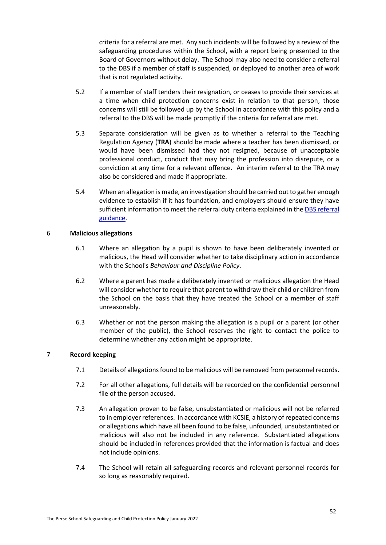criteria for a referral are met. Any such incidents will be followed by a review of the safeguarding procedures within the School, with a report being presented to the Board of Governors without delay. The School may also need to consider a referral to the DBS if a member of staff is suspended, or deployed to another area of work that is not regulated activity.

- 5.2 If a member of staff tenders their resignation, or ceases to provide their services at a time when child protection concerns exist in relation to that person, those concerns will still be followed up by the School in accordance with this policy and a referral to the DBS will be made promptly if the criteria for referral are met.
- <span id="page-53-1"></span>5.3 Separate consideration will be given as to whether a referral to the Teaching Regulation Agency (**TRA**) should be made where a teacher has been dismissed, or would have been dismissed had they not resigned, because of unacceptable professional conduct, conduct that may bring the profession into disrepute, or a conviction at any time for a relevant offence. An interim referral to the TRA may also be considered and made if appropriate.
- <span id="page-53-0"></span>5.4 When an allegation is made, an investigation should be carried out to gather enough evidence to establish if it has foundation, and employers should ensure they have sufficient information to meet the referral duty criteria explained in the DBS referral [guidance.](https://www.gov.uk/government/collections/dbs-referrals-guidance--2)

## 6 **Malicious allegations**

- 6.1 Where an allegation by a pupil is shown to have been deliberately invented or malicious, the Head will consider whether to take disciplinary action in accordance with the School's *Behaviour and Discipline Policy*.
- 6.2 Where a parent has made a deliberately invented or malicious allegation the Head will consider whether to require that parent to withdraw their child or children from the School on the basis that they have treated the School or a member of staff unreasonably.
- 6.3 Whether or not the person making the allegation is a pupil or a parent (or other member of the public), the School reserves the right to contact the police to determine whether any action might be appropriate.

# 7 **Record keeping**

- 7.1 Details of allegations found to be malicious will be removed from personnel records.
- 7.2 For all other allegations, full details will be recorded on the confidential personnel file of the person accused.
- 7.3 An allegation proven to be false, unsubstantiated or malicious will not be referred to in employer references. In accordance with KCSIE, a history of repeated concerns or allegations which have all been found to be false, unfounded, unsubstantiated or malicious will also not be included in any reference. Substantiated allegations should be included in references provided that the information is factual and does not include opinions.
- 7.4 The School will retain all safeguarding records and relevant personnel records for so long as reasonably required.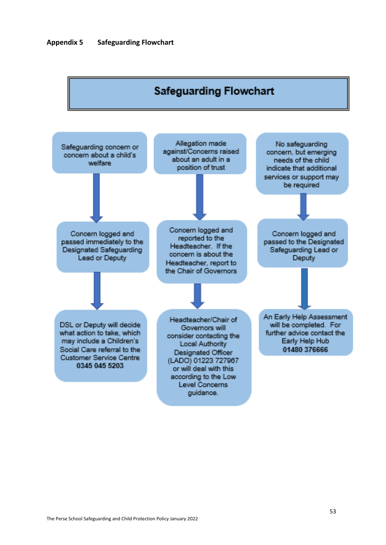<span id="page-54-0"></span>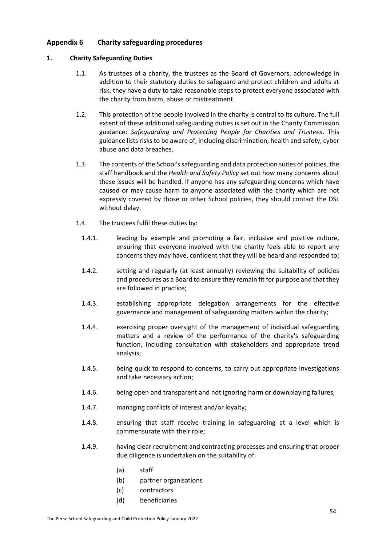# <span id="page-55-0"></span>**Appendix 6 Charity safeguarding procedures**

# **1. Charity Safeguarding Duties**

- 1.1. As trustees of a charity, the trustees as the Board of Governors, acknowledge in addition to their statutory duties to safeguard and protect children and adults at risk, they have a duty to take reasonable steps to protect everyone associated with the charity from harm, abuse or mistreatment.
- 1.2. This protection of the people involved in the charity is central to its culture. The full extent of these additional safeguarding duties is set out in the Charity Commission guidance: *Safeguarding and Protecting People for Charities and Trustees*. This guidance lists risks to be aware of, including discrimination, health and safety, cyber abuse and data breaches.
- 1.3. The contents of the School's safeguarding and data protection suites of policies, the staff handbook and the *Health and Safety Policy* set out how many concerns about these issues will be handled. If anyone has any safeguarding concerns which have caused or may cause harm to anyone associated with the charity which are not expressly covered by those or other School policies, they should contact the DSL without delay.
- 1.4. The trustees fulfil these duties by:
	- 1.4.1. leading by example and promoting a fair, inclusive and positive culture, ensuring that everyone involved with the charity feels able to report any concerns they may have, confident that they will be heard and responded to;
	- 1.4.2. setting and regularly (at least annually) reviewing the suitability of policies and procedures as a Board to ensure they remain fit for purpose and that they are followed in practice;
	- 1.4.3. establishing appropriate delegation arrangements for the effective governance and management of safeguarding matters within the charity;
	- 1.4.4. exercising proper oversight of the management of individual safeguarding matters and a review of the performance of the charity's safeguarding function, including consultation with stakeholders and appropriate trend analysis;
	- 1.4.5. being quick to respond to concerns, to carry out appropriate investigations and take necessary action;
	- 1.4.6. being open and transparent and not ignoring harm or downplaying failures;
	- 1.4.7. managing conflicts of interest and/or loyalty;
	- 1.4.8. ensuring that staff receive training in safeguarding at a level which is commensurate with their role;
	- 1.4.9. having clear recruitment and contracting processes and ensuring that proper due diligence is undertaken on the suitability of:
		- (a) staff
		- (b) partner organisations
		- (c) contractors
		- (d) beneficiaries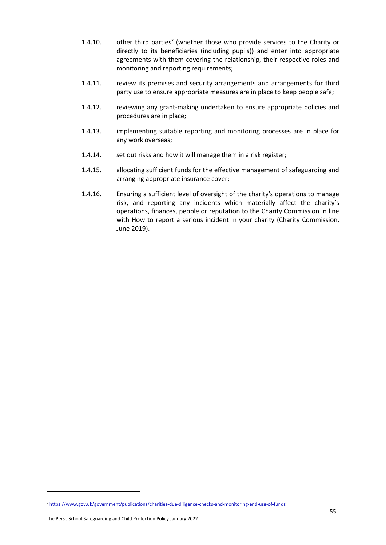- 1.4.10.  $\qquad$  other third parties<sup>7</sup> (whether those who provide services to the Charity or directly to its beneficiaries (including pupils)) and enter into appropriate agreements with them covering the relationship, their respective roles and monitoring and reporting requirements;
- 1.4.11. review its premises and security arrangements and arrangements for third party use to ensure appropriate measures are in place to keep people safe;
- 1.4.12. reviewing any grant-making undertaken to ensure appropriate policies and procedures are in place;
- 1.4.13. implementing suitable reporting and monitoring processes are in place for any work overseas;
- 1.4.14. set out risks and how it will manage them in a risk register;
- 1.4.15. allocating sufficient funds for the effective management of safeguarding and arranging appropriate insurance cover;
- 1.4.16. Ensuring a sufficient level of oversight of the charity's operations to manage risk, and reporting any incidents which materially affect the charity's operations, finances, people or reputation to the Charity Commission in line with How to report a serious incident in your charity (Charity Commission, June 2019).

-

<sup>7</sup> <https://www.gov.uk/government/publications/charities-due-diligence-checks-and-monitoring-end-use-of-funds>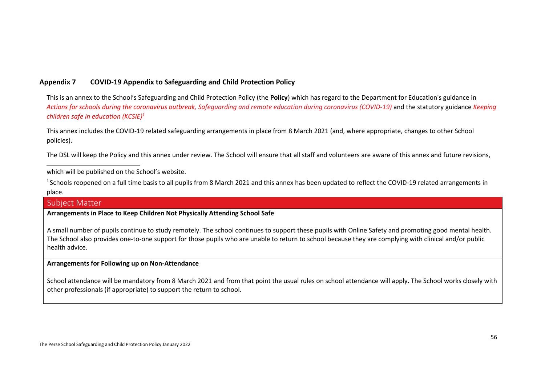# **Appendix 7 COVID-19 Appendix to Safeguarding and Child Protection Policy**

This is an annex to the School's Safeguarding and Child Protection Policy (the **Policy**) which has regard to the Department for Education's guidance in *[Actions for schools during the coronavirus outbreak,](https://www.gov.uk/government/publications/actions-for-schools-during-the-coronavirus-outbreak) [Safeguarding and remote education during coronavirus \(COVID-19\)](https://www.gov.uk/guidance/safeguarding-and-remote-education-during-coronavirus-covid-19)* and the statutory guidance *[Keeping](https://www.gov.uk/government/publications/keeping-children-safe-in-education--2) [children safe in education \(](https://www.gov.uk/government/publications/keeping-children-safe-in-education--2)KCSIE)<sup>1</sup>*

This annex includes the COVID-19 related safeguarding arrangements in place from 8 March 2021 (and, where appropriate, changes to other School policies).

The DSL will keep the Policy and this annex under review. The School will ensure that all staff and volunteers are aware of this annex and future revisions,

which will be published on the School's website.

 $1$  Schools reopened on a full time basis to all pupils from 8 March 2021 and this annex has been updated to reflect the COVID-19 related arrangements in place.

# Subject Matter

# **Arrangements in Place to Keep Children Not Physically Attending School Safe**

<span id="page-57-0"></span>A small number of pupils continue to study remotely. The school continues to support these pupils with Online Safety and promoting good mental health. The School also provides one-to-one support for those pupils who are unable to return to school because they are complying with clinical and/or public health advice.

#### **Arrangements for Following up on Non-Attendance**

School attendance will be mandatory from 8 March 2021 and from that point the usual rules on school attendance will apply. The School works closely with other professionals (if appropriate) to support the return to school.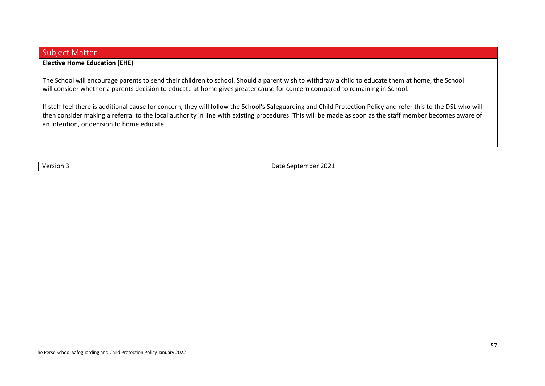# Subject Matter

# **Elective Home Education (EHE)**

The School will encourage parents to send their children to school. Should a parent wish to withdraw a child to educate them at home, the School will consider whether a parents decision to educate at home gives greater cause for concern compared to remaining in School.

If staff feel there is additional cause for concern, they will follow the School's Safeguarding and Child Protection Policy and refer this to the DSL who will then consider making a referral to the local authority in line with existing procedures. This will be made as soon as the staff member becomes aware of an intention, or decision to home educate.

Version 3 Date September 2021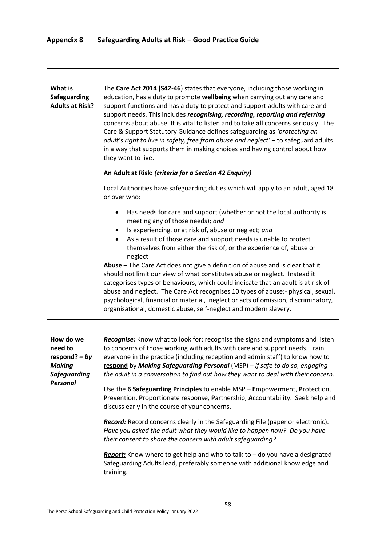<span id="page-59-0"></span>

| What is<br>Safeguarding<br><b>Adults at Risk?</b>                                                  | The Care Act 2014 (S42-46) states that everyone, including those working in<br>education, has a duty to promote wellbeing when carrying out any care and<br>support functions and has a duty to protect and support adults with care and<br>support needs. This includes recognising, recording, reporting and referring<br>concerns about abuse. It is vital to listen and to take all concerns seriously. The<br>Care & Support Statutory Guidance defines safeguarding as 'protecting an<br>adult's right to live in safety, free from abuse and neglect' - to safeguard adults<br>in a way that supports them in making choices and having control about how<br>they want to live.                                                                                                                                                                                                                                                                                                                                                              |
|----------------------------------------------------------------------------------------------------|-----------------------------------------------------------------------------------------------------------------------------------------------------------------------------------------------------------------------------------------------------------------------------------------------------------------------------------------------------------------------------------------------------------------------------------------------------------------------------------------------------------------------------------------------------------------------------------------------------------------------------------------------------------------------------------------------------------------------------------------------------------------------------------------------------------------------------------------------------------------------------------------------------------------------------------------------------------------------------------------------------------------------------------------------------|
|                                                                                                    | An Adult at Risk: (criteria for a Section 42 Enquiry)<br>Local Authorities have safeguarding duties which will apply to an adult, aged 18<br>or over who:                                                                                                                                                                                                                                                                                                                                                                                                                                                                                                                                                                                                                                                                                                                                                                                                                                                                                           |
|                                                                                                    | Has needs for care and support (whether or not the local authority is<br>٠<br>meeting any of those needs); and<br>Is experiencing, or at risk of, abuse or neglect; and<br>As a result of those care and support needs is unable to protect<br>٠<br>themselves from either the risk of, or the experience of, abuse or<br>neglect<br>Abuse - The Care Act does not give a definition of abuse and is clear that it<br>should not limit our view of what constitutes abuse or neglect. Instead it<br>categorises types of behaviours, which could indicate that an adult is at risk of<br>abuse and neglect. The Care Act recognises 10 types of abuse:- physical, sexual,<br>psychological, financial or material, neglect or acts of omission, discriminatory,<br>organisational, domestic abuse, self-neglect and modern slavery.                                                                                                                                                                                                                 |
| How do we<br>need to<br>respond? $- by$<br><b>Making</b><br><b>Safeguarding</b><br><b>Personal</b> | Recognise: Know what to look for; recognise the signs and symptoms and listen<br>to concerns of those working with adults with care and support needs. Train<br>everyone in the practice (including reception and admin staff) to know how to<br>respond by Making Safeguarding Personal (MSP) - if safe to do so, engaging<br>the adult in a conversation to find out how they want to deal with their concern.<br>Use the 6 Safeguarding Principles to enable MSP - Empowerment, Protection,<br>Prevention, Proportionate response, Partnership, Accountability. Seek help and<br>discuss early in the course of your concerns.<br>Record: Record concerns clearly in the Safeguarding File (paper or electronic).<br>Have you asked the adult what they would like to happen now? Do you have<br>their consent to share the concern with adult safeguarding?<br><b>Report:</b> Know where to get help and who to talk to $-$ do you have a designated<br>Safeguarding Adults lead, preferably someone with additional knowledge and<br>training. |

٦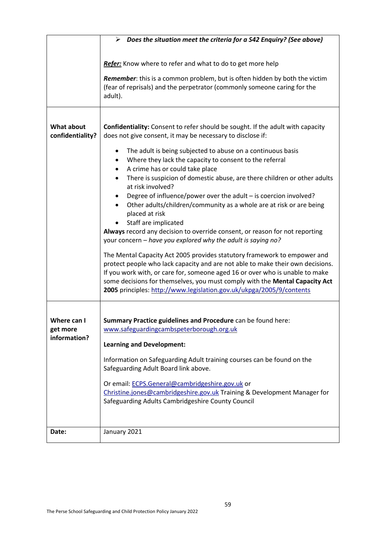|                                       | $\triangleright$ Does the situation meet the criteria for a S42 Enquiry? (See above)                                                                                                                                                                                                                                                                                                              |
|---------------------------------------|---------------------------------------------------------------------------------------------------------------------------------------------------------------------------------------------------------------------------------------------------------------------------------------------------------------------------------------------------------------------------------------------------|
|                                       |                                                                                                                                                                                                                                                                                                                                                                                                   |
|                                       | Refer: Know where to refer and what to do to get more help                                                                                                                                                                                                                                                                                                                                        |
|                                       | Remember: this is a common problem, but is often hidden by both the victim<br>(fear of reprisals) and the perpetrator (commonly someone caring for the<br>adult).                                                                                                                                                                                                                                 |
|                                       |                                                                                                                                                                                                                                                                                                                                                                                                   |
| <b>What about</b><br>confidentiality? | Confidentiality: Consent to refer should be sought. If the adult with capacity<br>does not give consent, it may be necessary to disclose if:                                                                                                                                                                                                                                                      |
|                                       | The adult is being subjected to abuse on a continuous basis<br>٠                                                                                                                                                                                                                                                                                                                                  |
|                                       | Where they lack the capacity to consent to the referral<br>٠                                                                                                                                                                                                                                                                                                                                      |
|                                       | A crime has or could take place<br>٠<br>There is suspicion of domestic abuse, are there children or other adults<br>$\bullet$                                                                                                                                                                                                                                                                     |
|                                       | at risk involved?                                                                                                                                                                                                                                                                                                                                                                                 |
|                                       | Degree of influence/power over the adult - is coercion involved?<br>Other adults/children/community as a whole are at risk or are being<br>$\bullet$<br>placed at risk                                                                                                                                                                                                                            |
|                                       | Staff are implicated<br>Always record any decision to override consent, or reason for not reporting<br>your concern – have you explored why the adult is saying no?                                                                                                                                                                                                                               |
|                                       | The Mental Capacity Act 2005 provides statutory framework to empower and<br>protect people who lack capacity and are not able to make their own decisions.<br>If you work with, or care for, someone aged 16 or over who is unable to make<br>some decisions for themselves, you must comply with the Mental Capacity Act<br>2005 principles: http://www.legislation.gov.uk/ukpga/2005/9/contents |
|                                       |                                                                                                                                                                                                                                                                                                                                                                                                   |
| Where can I                           | Summary Practice guidelines and Procedure can be found here:                                                                                                                                                                                                                                                                                                                                      |
| get more<br>information?              | www.safeguardingcambspeterborough.org.uk                                                                                                                                                                                                                                                                                                                                                          |
|                                       | <b>Learning and Development:</b>                                                                                                                                                                                                                                                                                                                                                                  |
|                                       | Information on Safeguarding Adult training courses can be found on the<br>Safeguarding Adult Board link above.                                                                                                                                                                                                                                                                                    |
|                                       | Or email: ECPS.General@cambridgeshire.gov.uk or<br>Christine.jones@cambridgeshire.gov.uk Training & Development Manager for<br>Safeguarding Adults Cambridgeshire County Council                                                                                                                                                                                                                  |
|                                       |                                                                                                                                                                                                                                                                                                                                                                                                   |
| Date:                                 | January 2021                                                                                                                                                                                                                                                                                                                                                                                      |